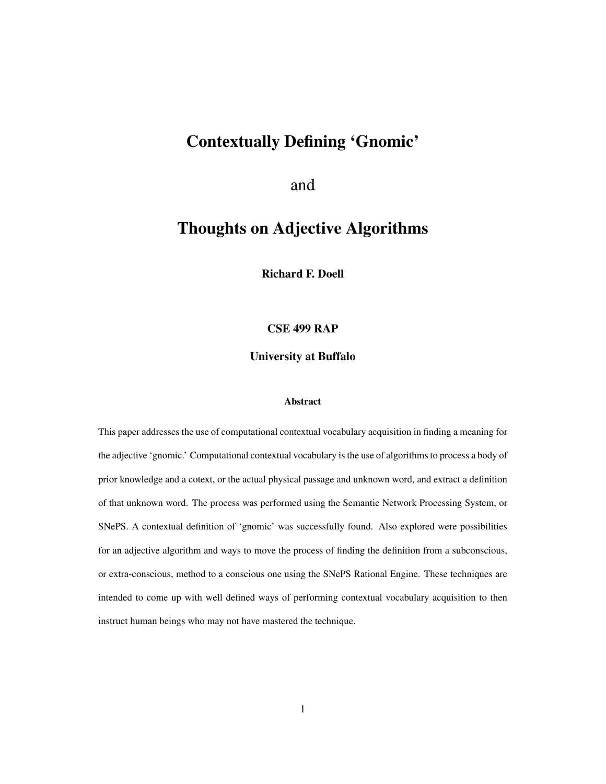# Contextually Defining 'Gnomic'

and

# Thoughts on Adjective Algorithms

Richard F. Doell

### CSE 499 RAP

University at Buffalo

#### Abstract

This paper addresses the use of computational contextual vocabulary acquisition in finding a meaning for the adjective 'gnomic.' Computational contextual vocabulary is the use of algorithms to process a body of prior knowledge and a cotext, or the actual physical passage and unknown word, and extract a definition of that unknown word. The process was performed using the Semantic Network Processing System, or SNePS. A contextual definition of 'gnomic' was successfully found. Also explored were possibilities for an adjective algorithm and ways to move the process of finding the definition from a subconscious, or extra-conscious, method to a conscious one using the SNePS Rational Engine. These techniques are intended to come up with well defined ways of performing contextual vocabulary acquisition to then instruct human beings who may not have mastered the technique.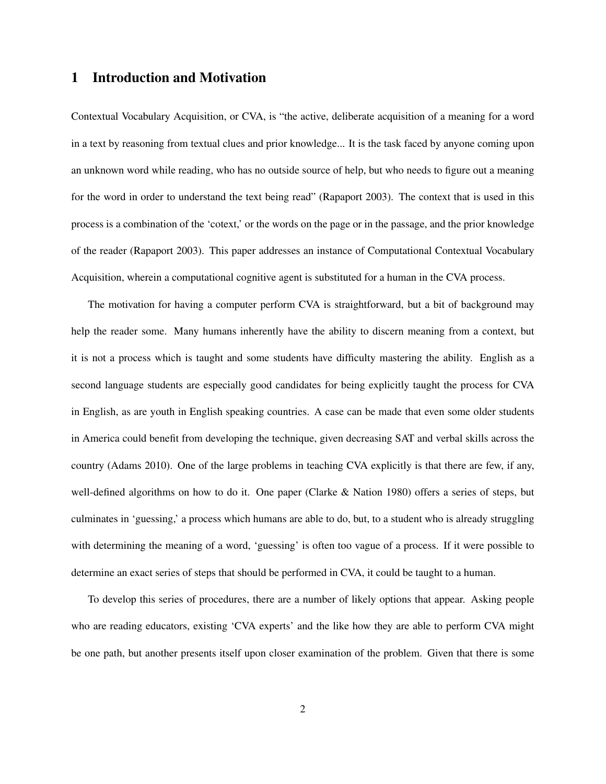### 1 Introduction and Motivation

Contextual Vocabulary Acquisition, or CVA, is "the active, deliberate acquisition of a meaning for a word in a text by reasoning from textual clues and prior knowledge... It is the task faced by anyone coming upon an unknown word while reading, who has no outside source of help, but who needs to figure out a meaning for the word in order to understand the text being read" (Rapaport 2003). The context that is used in this process is a combination of the 'cotext,' or the words on the page or in the passage, and the prior knowledge of the reader (Rapaport 2003). This paper addresses an instance of Computational Contextual Vocabulary Acquisition, wherein a computational cognitive agent is substituted for a human in the CVA process.

The motivation for having a computer perform CVA is straightforward, but a bit of background may help the reader some. Many humans inherently have the ability to discern meaning from a context, but it is not a process which is taught and some students have difficulty mastering the ability. English as a second language students are especially good candidates for being explicitly taught the process for CVA in English, as are youth in English speaking countries. A case can be made that even some older students in America could benefit from developing the technique, given decreasing SAT and verbal skills across the country (Adams 2010). One of the large problems in teaching CVA explicitly is that there are few, if any, well-defined algorithms on how to do it. One paper (Clarke & Nation 1980) offers a series of steps, but culminates in 'guessing,' a process which humans are able to do, but, to a student who is already struggling with determining the meaning of a word, 'guessing' is often too vague of a process. If it were possible to determine an exact series of steps that should be performed in CVA, it could be taught to a human.

To develop this series of procedures, there are a number of likely options that appear. Asking people who are reading educators, existing 'CVA experts' and the like how they are able to perform CVA might be one path, but another presents itself upon closer examination of the problem. Given that there is some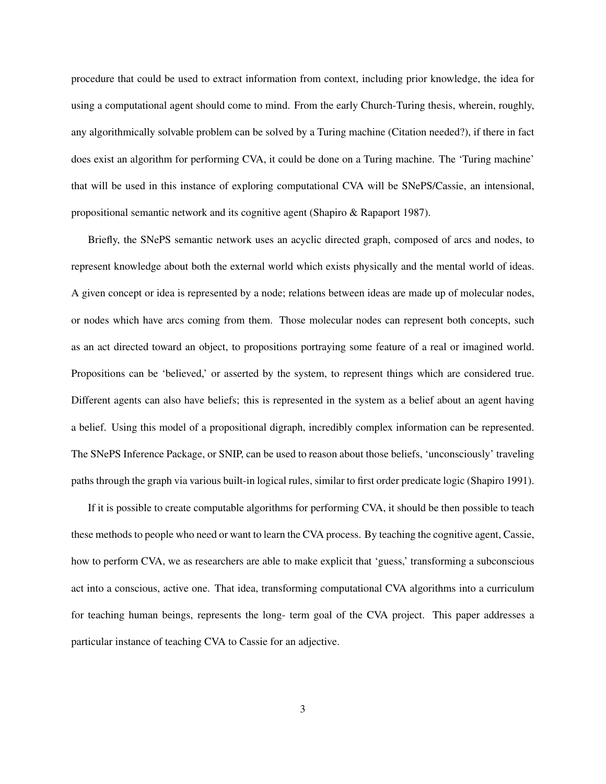procedure that could be used to extract information from context, including prior knowledge, the idea for using a computational agent should come to mind. From the early Church-Turing thesis, wherein, roughly, any algorithmically solvable problem can be solved by a Turing machine (Citation needed?), if there in fact does exist an algorithm for performing CVA, it could be done on a Turing machine. The 'Turing machine' that will be used in this instance of exploring computational CVA will be SNePS/Cassie, an intensional, propositional semantic network and its cognitive agent (Shapiro & Rapaport 1987).

Briefly, the SNePS semantic network uses an acyclic directed graph, composed of arcs and nodes, to represent knowledge about both the external world which exists physically and the mental world of ideas. A given concept or idea is represented by a node; relations between ideas are made up of molecular nodes, or nodes which have arcs coming from them. Those molecular nodes can represent both concepts, such as an act directed toward an object, to propositions portraying some feature of a real or imagined world. Propositions can be 'believed,' or asserted by the system, to represent things which are considered true. Different agents can also have beliefs; this is represented in the system as a belief about an agent having a belief. Using this model of a propositional digraph, incredibly complex information can be represented. The SNePS Inference Package, or SNIP, can be used to reason about those beliefs, 'unconsciously' traveling paths through the graph via various built-in logical rules, similar to first order predicate logic (Shapiro 1991).

If it is possible to create computable algorithms for performing CVA, it should be then possible to teach these methods to people who need or want to learn the CVA process. By teaching the cognitive agent, Cassie, how to perform CVA, we as researchers are able to make explicit that 'guess,' transforming a subconscious act into a conscious, active one. That idea, transforming computational CVA algorithms into a curriculum for teaching human beings, represents the long- term goal of the CVA project. This paper addresses a particular instance of teaching CVA to Cassie for an adjective.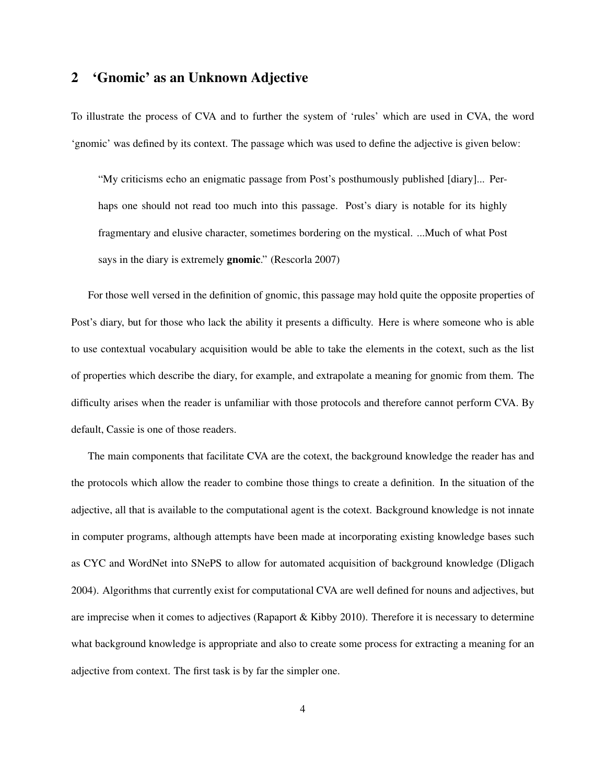# 2 'Gnomic' as an Unknown Adjective

To illustrate the process of CVA and to further the system of 'rules' which are used in CVA, the word 'gnomic' was defined by its context. The passage which was used to define the adjective is given below:

"My criticisms echo an enigmatic passage from Post's posthumously published [diary]... Perhaps one should not read too much into this passage. Post's diary is notable for its highly fragmentary and elusive character, sometimes bordering on the mystical. ...Much of what Post says in the diary is extremely **gnomic**." (Rescorla 2007)

For those well versed in the definition of gnomic, this passage may hold quite the opposite properties of Post's diary, but for those who lack the ability it presents a difficulty. Here is where someone who is able to use contextual vocabulary acquisition would be able to take the elements in the cotext, such as the list of properties which describe the diary, for example, and extrapolate a meaning for gnomic from them. The difficulty arises when the reader is unfamiliar with those protocols and therefore cannot perform CVA. By default, Cassie is one of those readers.

The main components that facilitate CVA are the cotext, the background knowledge the reader has and the protocols which allow the reader to combine those things to create a definition. In the situation of the adjective, all that is available to the computational agent is the cotext. Background knowledge is not innate in computer programs, although attempts have been made at incorporating existing knowledge bases such as CYC and WordNet into SNePS to allow for automated acquisition of background knowledge (Dligach 2004). Algorithms that currently exist for computational CVA are well defined for nouns and adjectives, but are imprecise when it comes to adjectives (Rapaport & Kibby 2010). Therefore it is necessary to determine what background knowledge is appropriate and also to create some process for extracting a meaning for an adjective from context. The first task is by far the simpler one.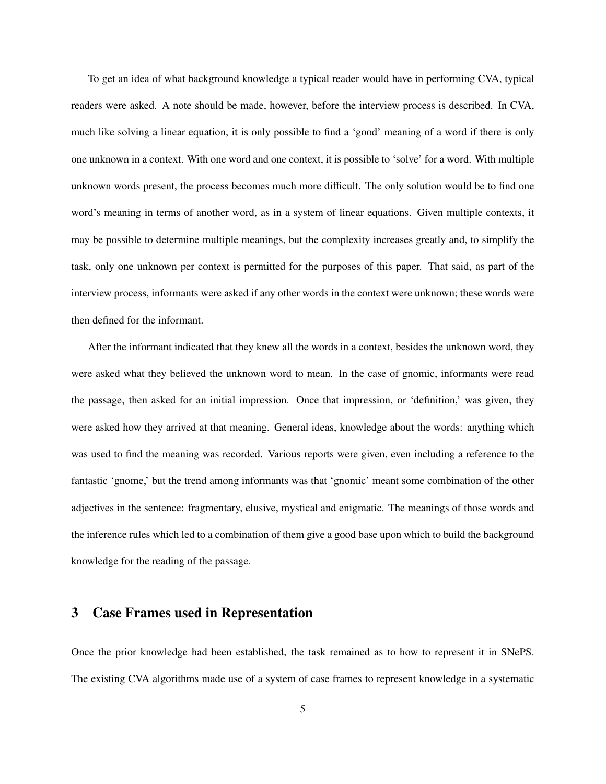To get an idea of what background knowledge a typical reader would have in performing CVA, typical readers were asked. A note should be made, however, before the interview process is described. In CVA, much like solving a linear equation, it is only possible to find a 'good' meaning of a word if there is only one unknown in a context. With one word and one context, it is possible to 'solve' for a word. With multiple unknown words present, the process becomes much more difficult. The only solution would be to find one word's meaning in terms of another word, as in a system of linear equations. Given multiple contexts, it may be possible to determine multiple meanings, but the complexity increases greatly and, to simplify the task, only one unknown per context is permitted for the purposes of this paper. That said, as part of the interview process, informants were asked if any other words in the context were unknown; these words were then defined for the informant.

After the informant indicated that they knew all the words in a context, besides the unknown word, they were asked what they believed the unknown word to mean. In the case of gnomic, informants were read the passage, then asked for an initial impression. Once that impression, or 'definition,' was given, they were asked how they arrived at that meaning. General ideas, knowledge about the words: anything which was used to find the meaning was recorded. Various reports were given, even including a reference to the fantastic 'gnome,' but the trend among informants was that 'gnomic' meant some combination of the other adjectives in the sentence: fragmentary, elusive, mystical and enigmatic. The meanings of those words and the inference rules which led to a combination of them give a good base upon which to build the background knowledge for the reading of the passage.

## 3 Case Frames used in Representation

Once the prior knowledge had been established, the task remained as to how to represent it in SNePS. The existing CVA algorithms made use of a system of case frames to represent knowledge in a systematic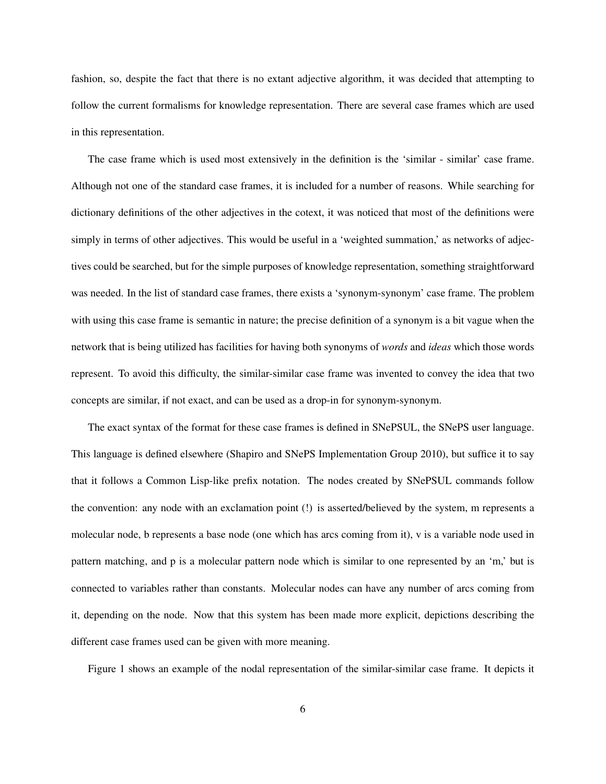fashion, so, despite the fact that there is no extant adjective algorithm, it was decided that attempting to follow the current formalisms for knowledge representation. There are several case frames which are used in this representation.

The case frame which is used most extensively in the definition is the 'similar - similar' case frame. Although not one of the standard case frames, it is included for a number of reasons. While searching for dictionary definitions of the other adjectives in the cotext, it was noticed that most of the definitions were simply in terms of other adjectives. This would be useful in a 'weighted summation,' as networks of adjectives could be searched, but for the simple purposes of knowledge representation, something straightforward was needed. In the list of standard case frames, there exists a 'synonym-synonym' case frame. The problem with using this case frame is semantic in nature; the precise definition of a synonym is a bit vague when the network that is being utilized has facilities for having both synonyms of *words* and *ideas* which those words represent. To avoid this difficulty, the similar-similar case frame was invented to convey the idea that two concepts are similar, if not exact, and can be used as a drop-in for synonym-synonym.

The exact syntax of the format for these case frames is defined in SNePSUL, the SNePS user language. This language is defined elsewhere (Shapiro and SNePS Implementation Group 2010), but suffice it to say that it follows a Common Lisp-like prefix notation. The nodes created by SNePSUL commands follow the convention: any node with an exclamation point (!) is asserted/believed by the system, m represents a molecular node, b represents a base node (one which has arcs coming from it), v is a variable node used in pattern matching, and p is a molecular pattern node which is similar to one represented by an 'm,' but is connected to variables rather than constants. Molecular nodes can have any number of arcs coming from it, depending on the node. Now that this system has been made more explicit, depictions describing the different case frames used can be given with more meaning.

Figure 1 shows an example of the nodal representation of the similar-similar case frame. It depicts it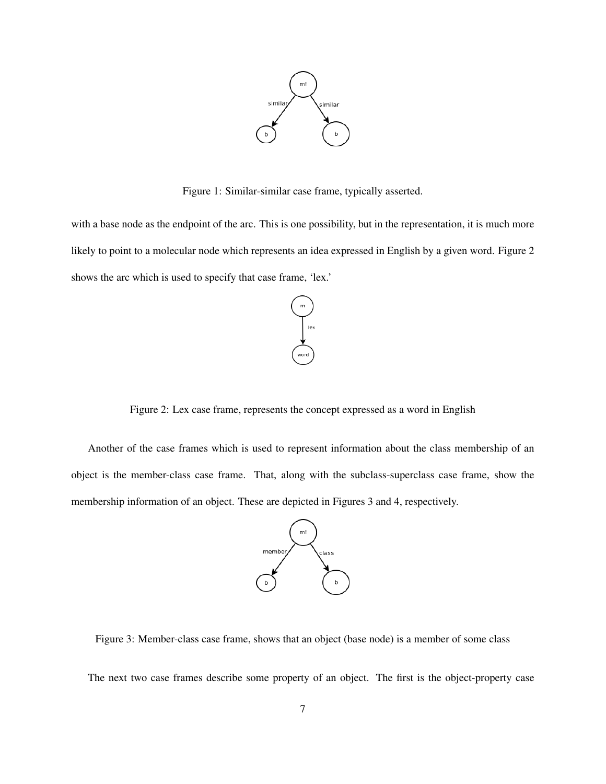

Figure 1: Similar-similar case frame, typically asserted.

with a base node as the endpoint of the arc. This is one possibility, but in the representation, it is much more likely to point to a molecular node which represents an idea expressed in English by a given word. Figure 2 shows the arc which is used to specify that case frame, 'lex.'



Figure 2: Lex case frame, represents the concept expressed as a word in English

Another of the case frames which is used to represent information about the class membership of an object is the member-class case frame. That, along with the subclass-superclass case frame, show the membership information of an object. These are depicted in Figures 3 and 4, respectively.



Figure 3: Member-class case frame, shows that an object (base node) is a member of some class

The next two case frames describe some property of an object. The first is the object-property case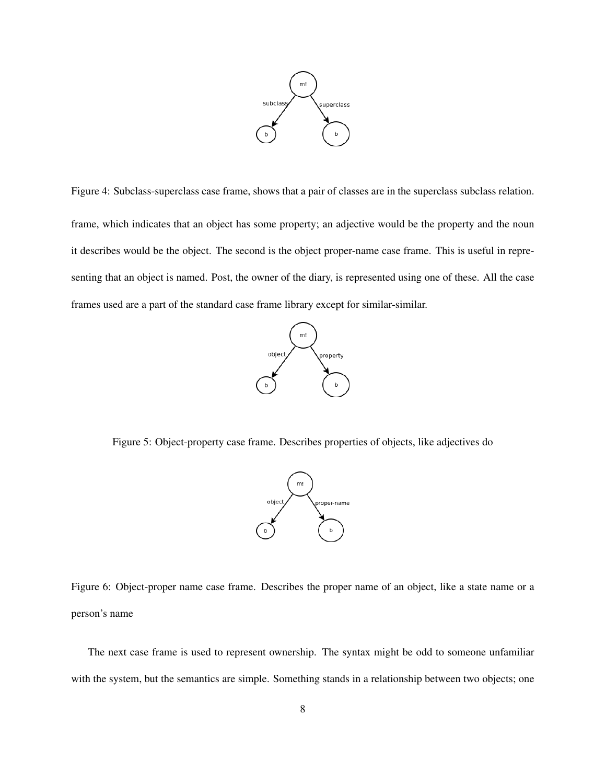

Figure 4: Subclass-superclass case frame, shows that a pair of classes are in the superclass subclass relation. frame, which indicates that an object has some property; an adjective would be the property and the noun it describes would be the object. The second is the object proper-name case frame. This is useful in representing that an object is named. Post, the owner of the diary, is represented using one of these. All the case frames used are a part of the standard case frame library except for similar-similar.



Figure 5: Object-property case frame. Describes properties of objects, like adjectives do



Figure 6: Object-proper name case frame. Describes the proper name of an object, like a state name or a person's name

The next case frame is used to represent ownership. The syntax might be odd to someone unfamiliar with the system, but the semantics are simple. Something stands in a relationship between two objects; one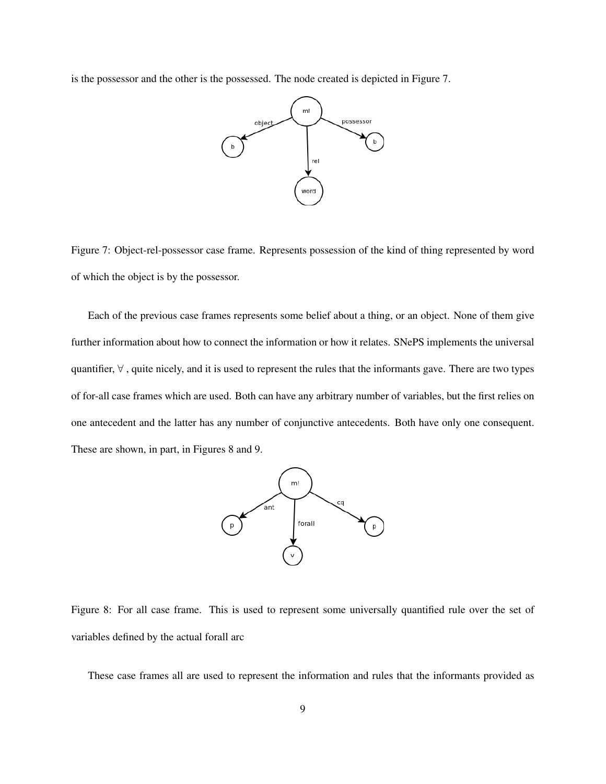is the possessor and the other is the possessed. The node created is depicted in Figure 7.



Figure 7: Object-rel-possessor case frame. Represents possession of the kind of thing represented by word of which the object is by the possessor.

Each of the previous case frames represents some belief about a thing, or an object. None of them give further information about how to connect the information or how it relates. SNePS implements the universal quantifier,  $\forall$ , quite nicely, and it is used to represent the rules that the informants gave. There are two types of for-all case frames which are used. Both can have any arbitrary number of variables, but the first relies on one antecedent and the latter has any number of conjunctive antecedents. Both have only one consequent. These are shown, in part, in Figures 8 and 9.



Figure 8: For all case frame. This is used to represent some universally quantified rule over the set of variables defined by the actual forall arc

These case frames all are used to represent the information and rules that the informants provided as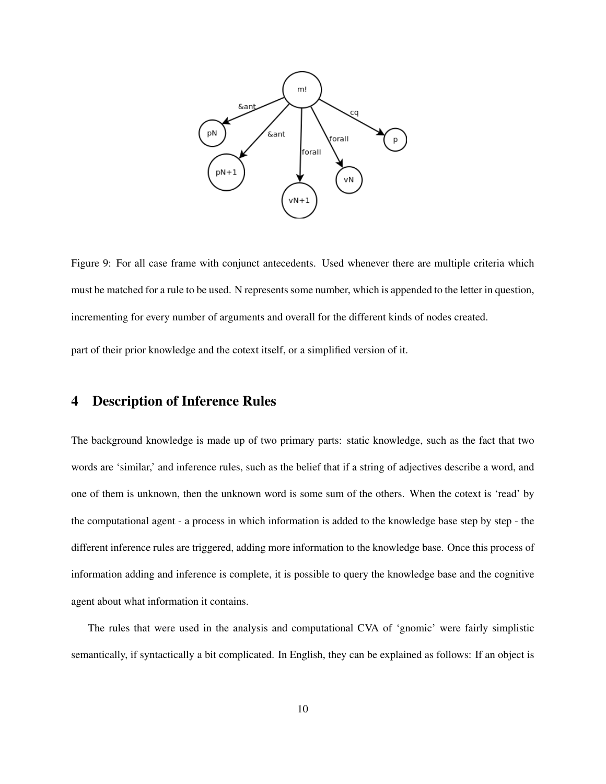

Figure 9: For all case frame with conjunct antecedents. Used whenever there are multiple criteria which must be matched for a rule to be used. N represents some number, which is appended to the letter in question, incrementing for every number of arguments and overall for the different kinds of nodes created.

part of their prior knowledge and the cotext itself, or a simplified version of it.

# 4 Description of Inference Rules

The background knowledge is made up of two primary parts: static knowledge, such as the fact that two words are 'similar,' and inference rules, such as the belief that if a string of adjectives describe a word, and one of them is unknown, then the unknown word is some sum of the others. When the cotext is 'read' by the computational agent - a process in which information is added to the knowledge base step by step - the different inference rules are triggered, adding more information to the knowledge base. Once this process of information adding and inference is complete, it is possible to query the knowledge base and the cognitive agent about what information it contains.

The rules that were used in the analysis and computational CVA of 'gnomic' were fairly simplistic semantically, if syntactically a bit complicated. In English, they can be explained as follows: If an object is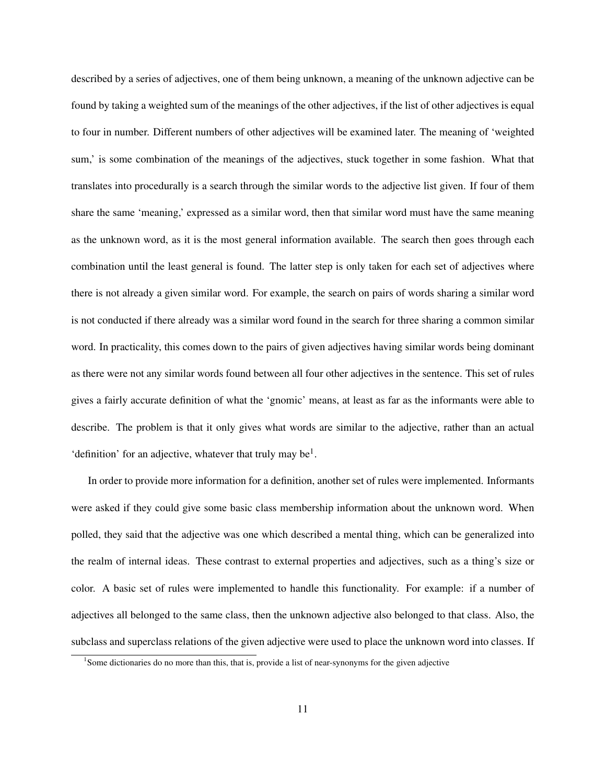described by a series of adjectives, one of them being unknown, a meaning of the unknown adjective can be found by taking a weighted sum of the meanings of the other adjectives, if the list of other adjectives is equal to four in number. Different numbers of other adjectives will be examined later. The meaning of 'weighted sum,' is some combination of the meanings of the adjectives, stuck together in some fashion. What that translates into procedurally is a search through the similar words to the adjective list given. If four of them share the same 'meaning,' expressed as a similar word, then that similar word must have the same meaning as the unknown word, as it is the most general information available. The search then goes through each combination until the least general is found. The latter step is only taken for each set of adjectives where there is not already a given similar word. For example, the search on pairs of words sharing a similar word is not conducted if there already was a similar word found in the search for three sharing a common similar word. In practicality, this comes down to the pairs of given adjectives having similar words being dominant as there were not any similar words found between all four other adjectives in the sentence. This set of rules gives a fairly accurate definition of what the 'gnomic' means, at least as far as the informants were able to describe. The problem is that it only gives what words are similar to the adjective, rather than an actual 'definition' for an adjective, whatever that truly may be<sup>1</sup>.

In order to provide more information for a definition, another set of rules were implemented. Informants were asked if they could give some basic class membership information about the unknown word. When polled, they said that the adjective was one which described a mental thing, which can be generalized into the realm of internal ideas. These contrast to external properties and adjectives, such as a thing's size or color. A basic set of rules were implemented to handle this functionality. For example: if a number of adjectives all belonged to the same class, then the unknown adjective also belonged to that class. Also, the subclass and superclass relations of the given adjective were used to place the unknown word into classes. If

<sup>&</sup>lt;sup>1</sup>Some dictionaries do no more than this, that is, provide a list of near-synonyms for the given adjective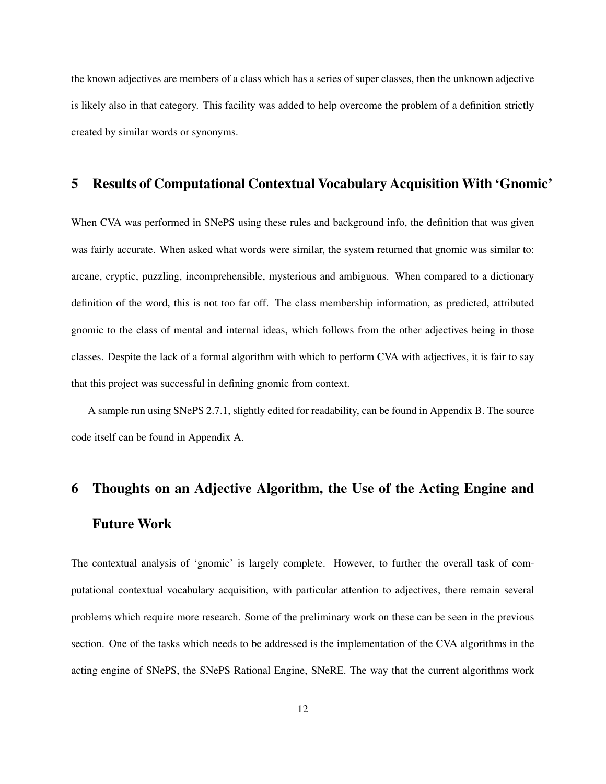the known adjectives are members of a class which has a series of super classes, then the unknown adjective is likely also in that category. This facility was added to help overcome the problem of a definition strictly created by similar words or synonyms.

# 5 Results of Computational Contextual Vocabulary Acquisition With 'Gnomic'

When CVA was performed in SNePS using these rules and background info, the definition that was given was fairly accurate. When asked what words were similar, the system returned that gnomic was similar to: arcane, cryptic, puzzling, incomprehensible, mysterious and ambiguous. When compared to a dictionary definition of the word, this is not too far off. The class membership information, as predicted, attributed gnomic to the class of mental and internal ideas, which follows from the other adjectives being in those classes. Despite the lack of a formal algorithm with which to perform CVA with adjectives, it is fair to say that this project was successful in defining gnomic from context.

A sample run using SNePS 2.7.1, slightly edited for readability, can be found in Appendix B. The source code itself can be found in Appendix A.

# 6 Thoughts on an Adjective Algorithm, the Use of the Acting Engine and Future Work

The contextual analysis of 'gnomic' is largely complete. However, to further the overall task of computational contextual vocabulary acquisition, with particular attention to adjectives, there remain several problems which require more research. Some of the preliminary work on these can be seen in the previous section. One of the tasks which needs to be addressed is the implementation of the CVA algorithms in the acting engine of SNePS, the SNePS Rational Engine, SNeRE. The way that the current algorithms work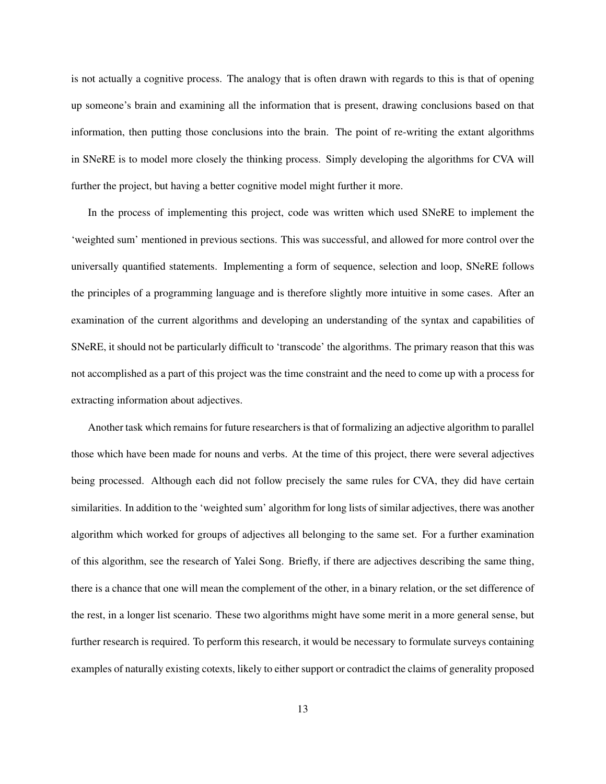is not actually a cognitive process. The analogy that is often drawn with regards to this is that of opening up someone's brain and examining all the information that is present, drawing conclusions based on that information, then putting those conclusions into the brain. The point of re-writing the extant algorithms in SNeRE is to model more closely the thinking process. Simply developing the algorithms for CVA will further the project, but having a better cognitive model might further it more.

In the process of implementing this project, code was written which used SNeRE to implement the 'weighted sum' mentioned in previous sections. This was successful, and allowed for more control over the universally quantified statements. Implementing a form of sequence, selection and loop, SNeRE follows the principles of a programming language and is therefore slightly more intuitive in some cases. After an examination of the current algorithms and developing an understanding of the syntax and capabilities of SNeRE, it should not be particularly difficult to 'transcode' the algorithms. The primary reason that this was not accomplished as a part of this project was the time constraint and the need to come up with a process for extracting information about adjectives.

Another task which remains for future researchers is that of formalizing an adjective algorithm to parallel those which have been made for nouns and verbs. At the time of this project, there were several adjectives being processed. Although each did not follow precisely the same rules for CVA, they did have certain similarities. In addition to the 'weighted sum' algorithm for long lists of similar adjectives, there was another algorithm which worked for groups of adjectives all belonging to the same set. For a further examination of this algorithm, see the research of Yalei Song. Briefly, if there are adjectives describing the same thing, there is a chance that one will mean the complement of the other, in a binary relation, or the set difference of the rest, in a longer list scenario. These two algorithms might have some merit in a more general sense, but further research is required. To perform this research, it would be necessary to formulate surveys containing examples of naturally existing cotexts, likely to either support or contradict the claims of generality proposed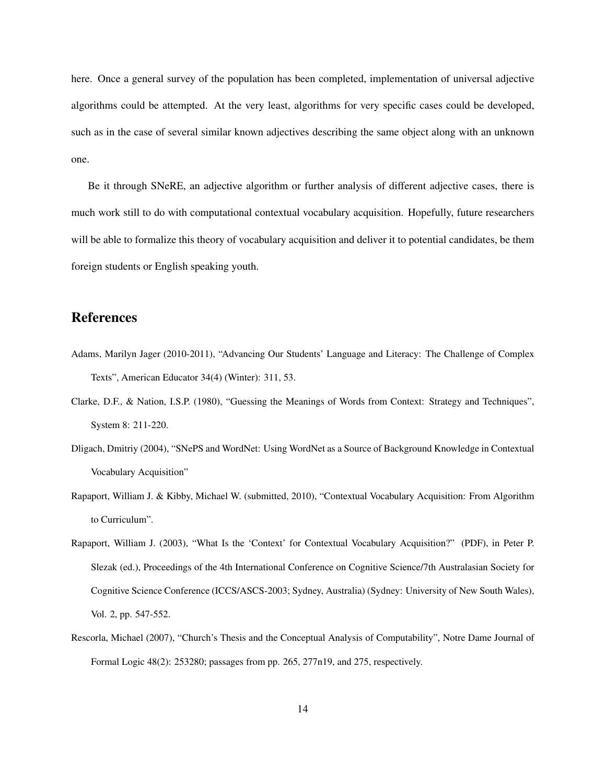here. Once a general survey of the population has been completed, implementation of universal adjective algorithms could be attempted. At the very least, algorithms for very specific cases could be developed, such as in the case of several similar known adjectives describing the same object along with an unknown one.

Be it through SNeRE, an adjective algorithm or further analysis of different adjective cases, there is much work still to do with computational contextual vocabulary acquisition. Hopefully, future researchers will be able to formalize this theory of vocabulary acquisition and deliver it to potential candidates, be them foreign students or English speaking youth.

# References

- Adams, Marilyn Jager (2010-2011), "Advancing Our Students' Language and Literacy: The Challenge of Complex Texts", American Educator 34(4) (Winter): 311, 53.
- Clarke, D.F., & Nation, I.S.P. (1980), "Guessing the Meanings of Words from Context: Strategy and Techniques", System 8: 211-220.
- Dligach, Dmitriy (2004), "SNePS and WordNet: Using WordNet as a Source of Background Knowledge in Contextual Vocabulary Acquisition"
- Rapaport, William J. & Kibby, Michael W. (submitted, 2010), "Contextual Vocabulary Acquisition: From Algorithm to Curriculum".
- Rapaport, William J. (2003), "What Is the 'Context' for Contextual Vocabulary Acquisition?" (PDF), in Peter P. Slezak (ed.), Proceedings of the 4th International Conference on Cognitive Science/7th Australasian Society for Cognitive Science Conference (ICCS/ASCS-2003; Sydney, Australia) (Sydney: University of New South Wales), Vol. 2, pp. 547-552.
- Rescorla, Michael (2007), "Church's Thesis and the Conceptual Analysis of Computability", Notre Dame Journal of Formal Logic 48(2): 253280; passages from pp. 265, 277n19, and 275, respectively.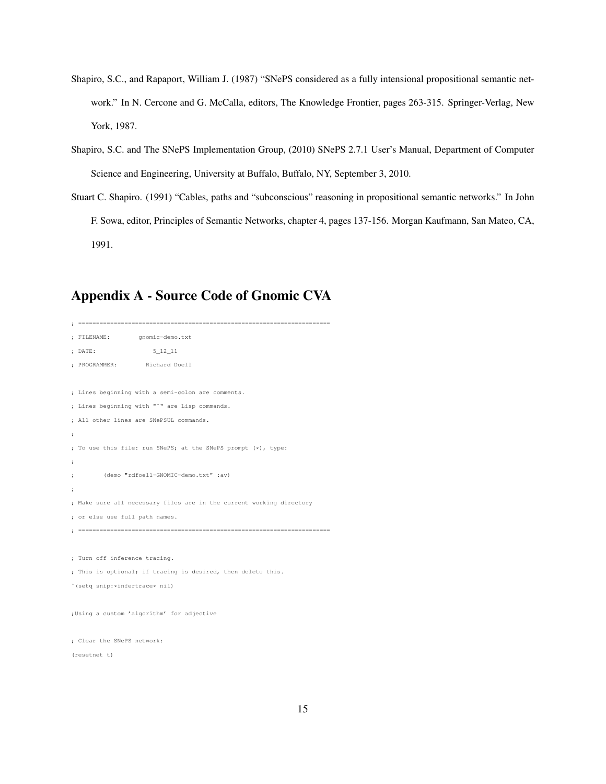- Shapiro, S.C., and Rapaport, William J. (1987) "SNePS considered as a fully intensional propositional semantic network." In N. Cercone and G. McCalla, editors, The Knowledge Frontier, pages 263-315. Springer-Verlag, New York, 1987.
- Shapiro, S.C. and The SNePS Implementation Group, (2010) SNePS 2.7.1 User's Manual, Department of Computer Science and Engineering, University at Buffalo, Buffalo, NY, September 3, 2010.
- Stuart C. Shapiro. (1991) "Cables, paths and "subconscious" reasoning in propositional semantic networks." In John F. Sowa, editor, Principles of Semantic Networks, chapter 4, pages 137-156. Morgan Kaufmann, San Mateo, CA, 1991.

# Appendix A - Source Code of Gnomic CVA

```
; =======================================================================
; FILENAME: gnomic-demo.txt
; DATE: 5_12_11
; PROGRAMMER: Richard Doell
; Lines beginning with a semi-colon are comments.
; Lines beginning with "ˆ" are Lisp commands.
; All other lines are SNePSUL commands.
;
; To use this file: run SNePS; at the SNePS prompt (*), type:
;
; (demo "rdfoell-GNOMIC-demo.txt" :av)
;
; Make sure all necessary files are in the current working directory
; or else use full path names.
; =======================================================================
; Turn off inference tracing.
; This is optional; if tracing is desired, then delete this.
ˆ(setq snip:*infertrace* nil)
;Using a custom 'algorithm' for adjective
; Clear the SNePS network:
(resetnet t)
```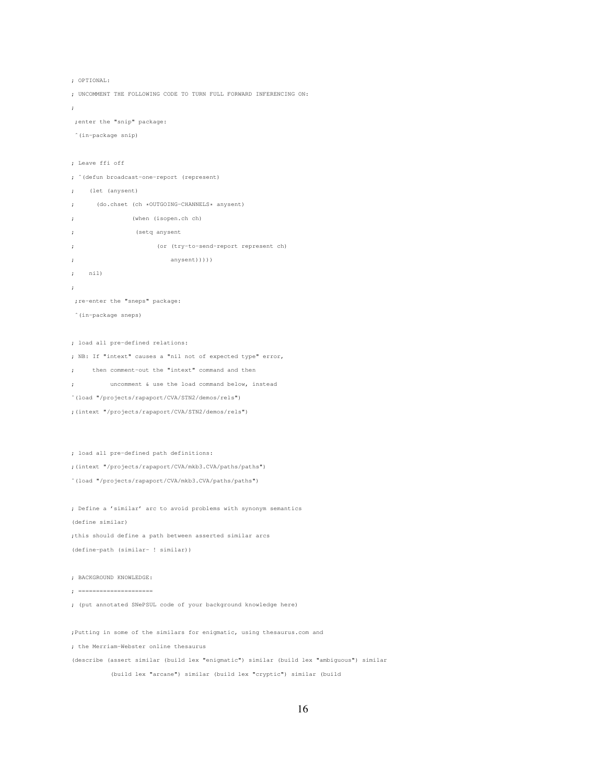```
; OPTIONAL:
```
; UNCOMMENT THE FOLLOWING CODE TO TURN FULL FORWARD INFERENCING ON:

```
;
```
;enter the "snip" package:

```
ˆ(in-package snip)
```

```
; Leave ffi off
```
- ; ˆ(defun broadcast-one-report (represent)
- ; (let (anysent)
- ; (do.chset (ch \*OUTGOING-CHANNELS\* anysent)
- ; (when (isopen.ch ch)
- ; (setq anysent
- ; (or (try-to-send-report represent ch)
- ; anysent)))))
- ; nil)
- ;

;re-enter the "sneps" package:

ˆ(in-package sneps)

; load all pre-defined relations:

- ; NB: If "intext" causes a "nil not of expected type" error,
- ; then comment-out the "intext" command and then
- ; uncomment & use the load command below, instead
- ˆ(load "/projects/rapaport/CVA/STN2/demos/rels")
- ;(intext "/projects/rapaport/CVA/STN2/demos/rels")

; load all pre-defined path definitions:

;(intext "/projects/rapaport/CVA/mkb3.CVA/paths/paths")

ˆ(load "/projects/rapaport/CVA/mkb3.CVA/paths/paths")

; Define a 'similar' arc to avoid problems with synonym semantics (define similar) ;this should define a path between asserted similar arcs (define-path (similar- ! similar))

; BACKGROUND KNOWLEDGE:

; =====================

; (put annotated SNePSUL code of your background knowledge here)

;Putting in some of the similars for enigmatic, using thesaurus.com and

; the Merriam-Webster online thesaurus

(describe (assert similar (build lex "enigmatic") similar (build lex "ambiguous") similar

(build lex "arcane") similar (build lex "cryptic") similar (build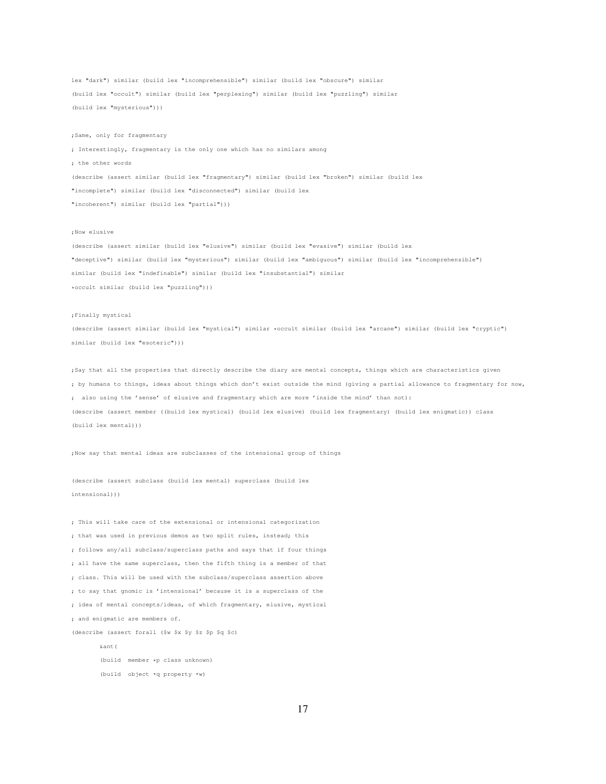lex "dark") similar (build lex "incomprehensible") similar (build lex "obscure") similar (build lex "occult") similar (build lex "perplexing") similar (build lex "puzzling") similar (build lex "mysterious")))

;Same, only for fragmentary

; Interestingly, fragmentary is the only one which has no similars among ; the other words (describe (assert similar (build lex "fragmentary") similar (build lex "broken") similar (build lex "incomplete") similar (build lex "disconnected") similar (build lex "incoherent") similar (build lex "partial")))

#### ;Now elusive

(describe (assert similar (build lex "elusive") similar (build lex "evasive") similar (build lex "deceptive") similar (build lex "mysterious") similar (build lex "ambiguous") similar (build lex "incomprehensible") similar (build lex "indefinable") similar (build lex "insubstantial") similar \*occult similar (build lex "puzzling")))

#### ;Finally mystical

(describe (assert similar (build lex "mystical") similar \*occult similar (build lex "arcane") similar (build lex "cryptic") similar (build lex "esoteric")))

;Say that all the properties that directly describe the diary are mental concepts, things which are characteristics given ; by humans to things, ideas about things which don't exist outside the mind (giving a partial allowance to fragmentary for now, ; also using the 'sense' of elusive and fragmentary which are more 'inside the mind' than not): (describe (assert member ((build lex mystical) (build lex elusive) (build lex fragmentary) (build lex enigmatic)) class (build lex mental)))

;Now say that mental ideas are subclasses of the intensional group of things

(describe (assert subclass (build lex mental) superclass (build lex intensional)))

; This will take care of the extensional or intensional categorization ; that was used in previous demos as two split rules, instead; this ; follows any/all subclass/superclass paths and says that if four things ; all have the same superclass, then the fifth thing is a member of that ; class. This will be used with the subclass/superclass assertion above ; to say that gnomic is 'intensional' because it is a superclass of the ; idea of mental concepts/ideas, of which fragmentary, elusive, mystical ; and enigmatic are members of. (describe (assert forall (\$w \$x \$y \$z \$p \$q \$c) &ant(

> (build member \*p class unknown) (build object \*q property \*w)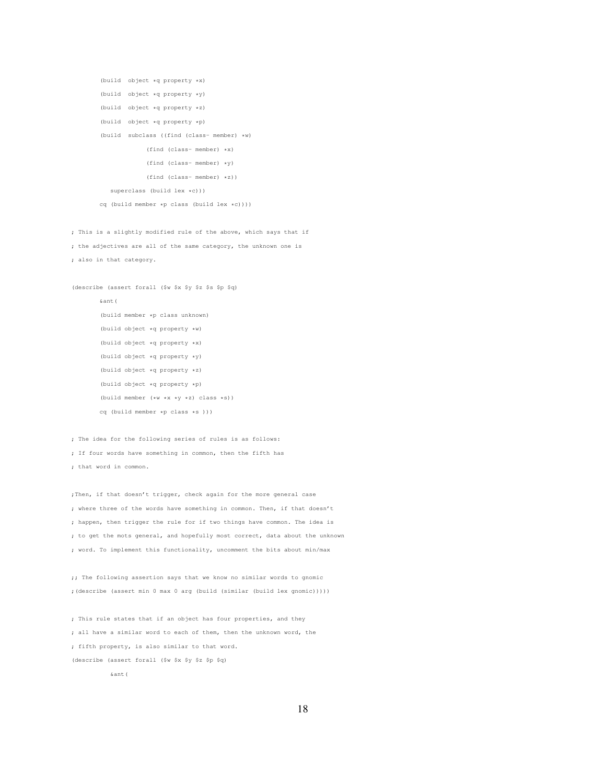```
(build object *q property *x)
(build object *q property *y)
(build object *q property *z)
(build object *q property *p)
(build subclass ((find (class- member) *w)
            (find (class- member) *x)
            (find (class- member) *y)
            (find (class- member) *z))
   superclass (build lex *c)))
cq (build member *p class (build lex *c))))
```
; This is a slightly modified rule of the above, which says that if ; the adjectives are all of the same category, the unknown one is ; also in that category.

```
(describe (assert forall ($w $x $y $z $s $p $q)
       &ant(
       (build member *p class unknown)
       (build object *q property *w)
       (build object *q property *x)
       (build object *q property *y)
       (build object *q property *z)
       (build object *q property *p)
       (build member (*w *x *y *z) class *s))
       cq (build member *p class *s )))
```
; The idea for the following series of rules is as follows: ; If four words have something in common, then the fifth has ; that word in common.

;Then, if that doesn't trigger, check again for the more general case ; where three of the words have something in common. Then, if that doesn't ; happen, then trigger the rule for if two things have common. The idea is ; to get the mots general, and hopefully most correct, data about the unknown ; word. To implement this functionality, uncomment the bits about min/max

;; The following assertion says that we know no similar words to gnomic ;(describe (assert min 0 max 0 arg (build (similar (build lex gnomic)))))

; This rule states that if an object has four properties, and they ; all have a similar word to each of them, then the unknown word, the ; fifth property, is also similar to that word. (describe (assert forall (\$w \$x \$y \$z \$p \$q) &ant(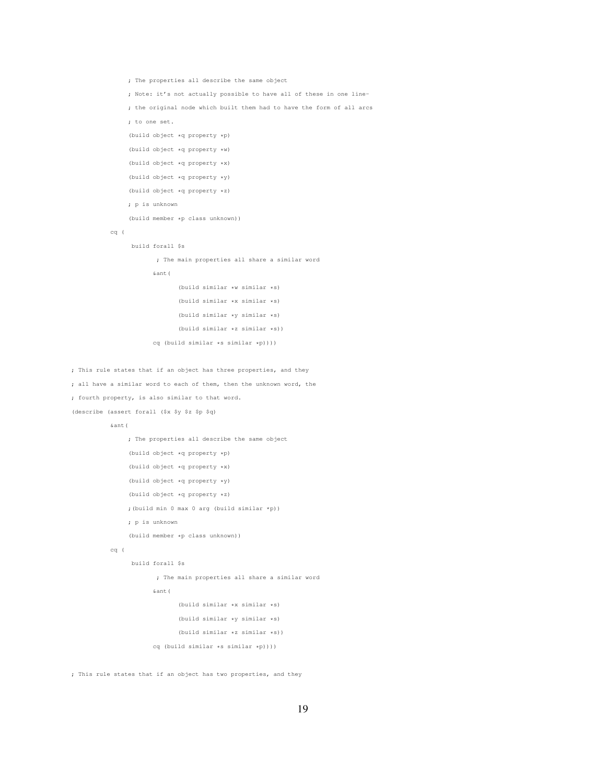```
; The properties all describe the same object
     ; Note: it's not actually possible to have all of these in one line-
     ; the original node which built them had to have the form of all arcs
     ; to one set.
     (build object *q property *p)
     (build object *q property *w)
     (build object *q property *x)
     (build object *q property *y)
     (build object *q property *z)
     ; p is unknown
     (build member *p class unknown))
cq (
      build forall $s
            ; The main properties all share a similar word
            &ant(
                   (build similar *w similar *s)
                   (build similar *x similar *s)
                   (build similar *y similar *s)
                   (build similar *z similar *s))
            cq (build similar *s similar *p))))
```
; This rule states that if an object has three properties, and they ; all have a similar word to each of them, then the unknown word, the ; fourth property, is also similar to that word. (describe (assert forall (\$x \$y \$z \$p \$q)

 $\&$  ant (

```
; The properties all describe the same object
```

```
(build object *q property *p)
```
(build object \*q property \*x)

(build object \*q property \*y)

(build object \*q property \*z)

;(build min 0 max 0 arg (build similar \*p))

; p is unknown

(build member \*p class unknown))

```
cq (
```
build forall \$s

; The main properties all share a similar word

&ant(

(build similar \*x similar \*s)

```
(build similar *y similar *s)
(build similar *z similar *s))
```
cq (build similar \*s similar \*p))))

; This rule states that if an object has two properties, and they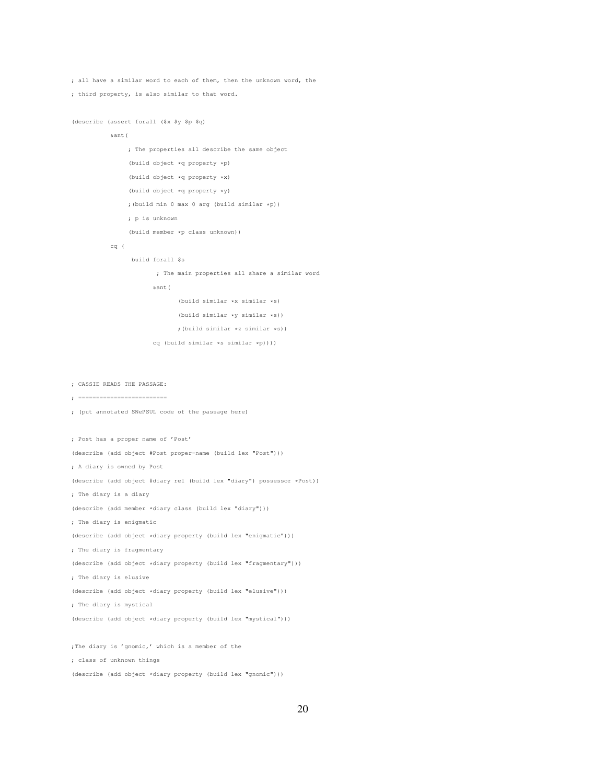```
; all have a similar word to each of them, then the unknown word, the
; third property, is also similar to that word.
```

```
(describe (assert forall ($x $y $p $q)
```

```
&ant(
     ; The properties all describe the same object
     (build object *q property *p)
     (build object *q property *x)
     (build object *q property *y)
     ;(build min 0 max 0 arg (build similar *p))
     ; p is unknown
     (build member *p class unknown))
cq (
```
build forall \$s

; The main properties all share a similar word

```
&ant(
```
(build similar \*x similar \*s)

(build similar \*y similar \*s))

;(build similar \*z similar \*s))

cq (build similar \*s similar \*p))))

; CASSIE READS THE PASSAGE:

- ; =========================
- ; (put annotated SNePSUL code of the passage here)

; Post has a proper name of 'Post'

(describe (add object #Post proper-name (build lex "Post")))

; A diary is owned by Post

(describe (add object #diary rel (build lex "diary") possessor \*Post))

; The diary is a diary

(describe (add member \*diary class (build lex "diary")))

; The diary is enigmatic

(describe (add object \*diary property (build lex "enigmatic")))

; The diary is fragmentary

(describe (add object \*diary property (build lex "fragmentary")))

; The diary is elusive

(describe (add object \*diary property (build lex "elusive")))

; The diary is mystical

(describe (add object \*diary property (build lex "mystical")))

;The diary is 'gnomic,' which is a member of the ; class of unknown things

(describe (add object \*diary property (build lex "gnomic")))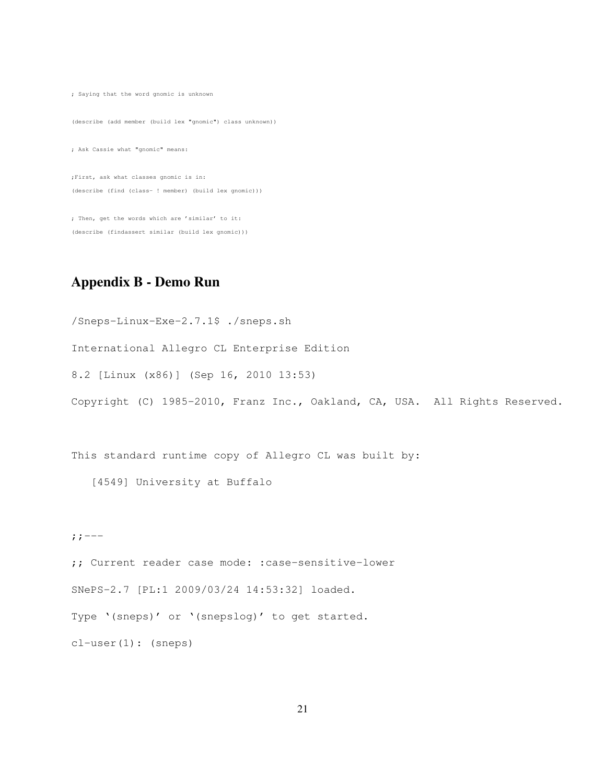; Saying that the word gnomic is unknown (describe (add member (build lex "gnomic") class unknown)) ; Ask Cassie what "gnomic" means: ;First, ask what classes gnomic is in: (describe (find (class- ! member) (build lex gnomic)))

; Then, get the words which are 'similar' to it: (describe (findassert similar (build lex gnomic)))

# Appendix B - Demo Run

/Sneps-Linux-Exe-2.7.1\$ ./sneps.sh International Allegro CL Enterprise Edition 8.2 [Linux (x86)] (Sep 16, 2010 13:53) Copyright (C) 1985-2010, Franz Inc., Oakland, CA, USA. All Rights Reserved.

This standard runtime copy of Allegro CL was built by:

[4549] University at Buffalo

 $;;---$ 

;; Current reader case mode: :case-sensitive-lower SNePS-2.7 [PL:1 2009/03/24 14:53:32] loaded. Type '(sneps)' or '(snepslog)' to get started. cl-user(1): (sneps)

21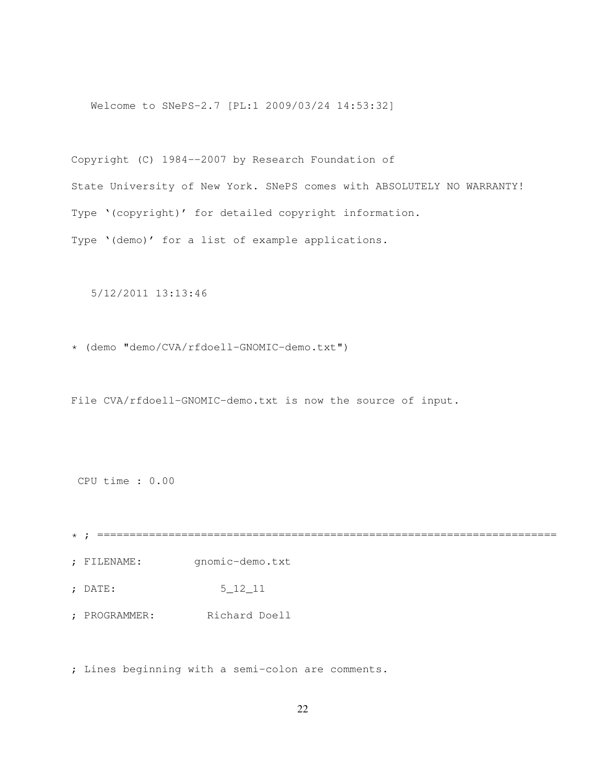Welcome to SNePS-2.7 [PL:1 2009/03/24 14:53:32]

Copyright (C) 1984--2007 by Research Foundation of State University of New York. SNePS comes with ABSOLUTELY NO WARRANTY! Type '(copyright)' for detailed copyright information. Type '(demo)' for a list of example applications.

5/12/2011 13:13:46

\* (demo "demo/CVA/rfdoell-GNOMIC-demo.txt")

File CVA/rfdoell-GNOMIC-demo.txt is now the source of input.

CPU time : 0.00

\* ; =======================================================================

; FILENAME: gnomic-demo.txt

; DATE: 5\_12\_11

; PROGRAMMER: Richard Doell

; Lines beginning with a semi-colon are comments.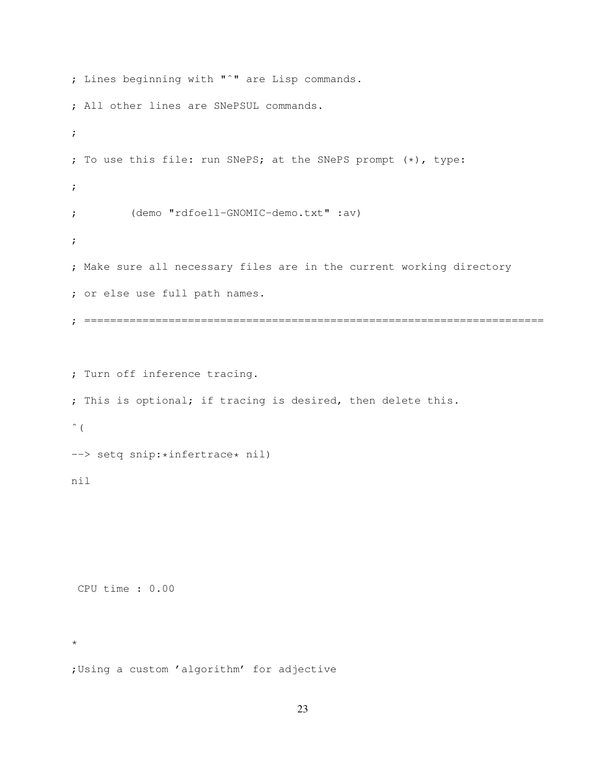```
; Lines beginning with "ˆ" are Lisp commands.
; All other lines are SNePSUL commands.
;
; To use this file: run SNePS; at the SNePS prompt (*), type:
;
; (demo "rdfoell-GNOMIC-demo.txt" :av)
;
; Make sure all necessary files are in the current working directory
; or else use full path names.
; =======================================================================
; Turn off inference tracing.
; This is optional; if tracing is desired, then delete this.
```

```
\hat{\ } (
```
--> setq snip: \*infertrace\* nil)

#### nil

CPU time : 0.00

\*

;Using a custom 'algorithm' for adjective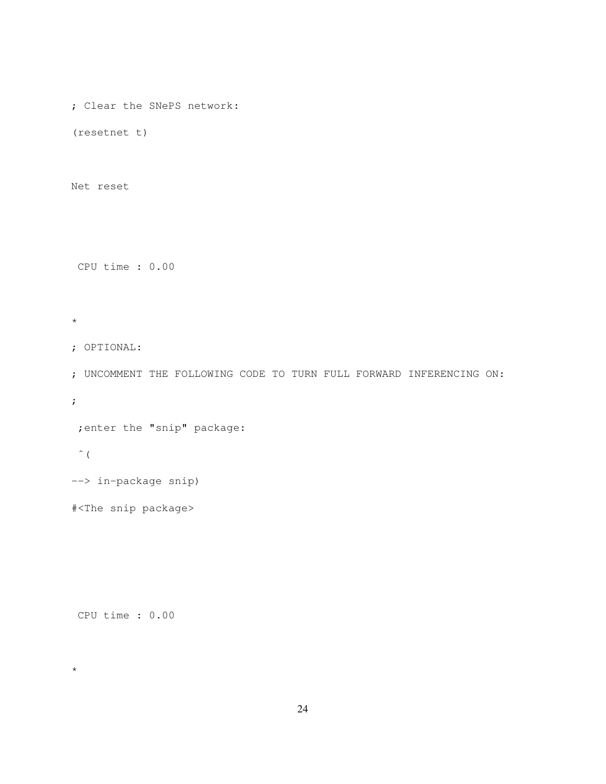; Clear the SNePS network:

(resetnet t)

Net reset

CPU time : 0.00

\*

```
; OPTIONAL:
```
; UNCOMMENT THE FOLLOWING CODE TO TURN FULL FORWARD INFERENCING ON:

;

```
;enter the "snip" package:
```
 $\hat{\zeta}$ 

\*

```
--> in-package snip)
```
#<The snip package>

```
CPU time : 0.00
```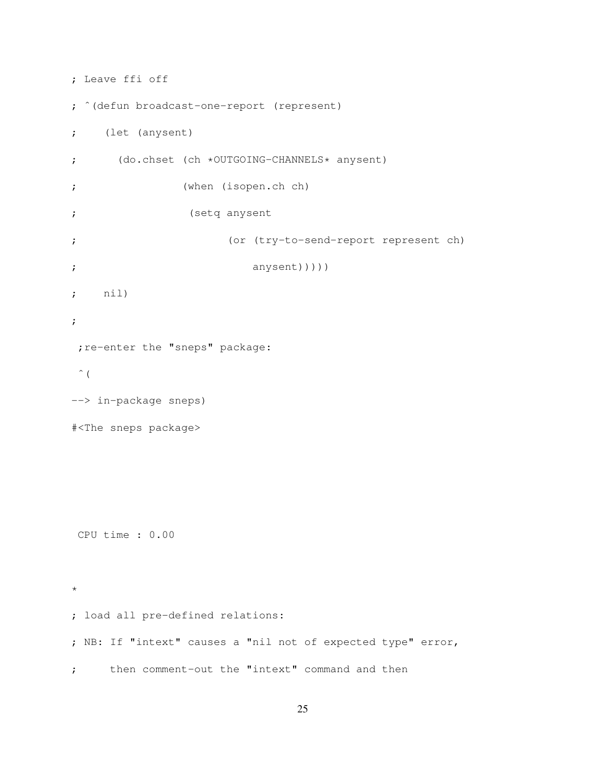```
; Leave ffi off
; ˆ(defun broadcast-one-report (represent)
; (let (anysent)
; (do.chset (ch *OUTGOING-CHANNELS* anysent)
; (when (isopen.ch ch)
; (setq anysent
; (or (try-to-send-report represent ch)
; anysent)))))
; nil)
;
; re-enter the "sneps" package:
\hat{\ } (
--> in-package sneps)
#<The sneps package>
CPU time : 0.00
*
; load all pre-defined relations:
; NB: If "intext" causes a "nil not of expected type" error,
; then comment-out the "intext" command and then
```

```
25
```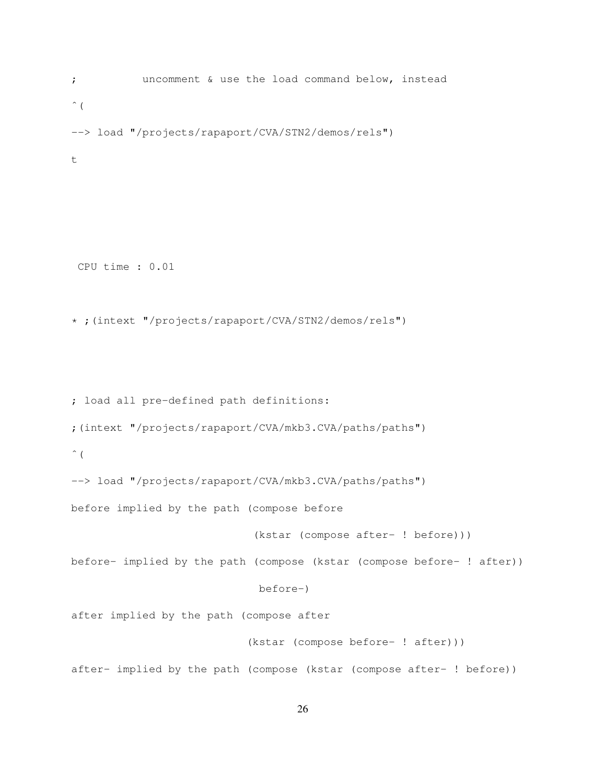; uncomment & use the load command below, instead  $\hat{\ }$  ( --> load "/projects/rapaport/CVA/STN2/demos/rels") t

CPU time : 0.01

\* ;(intext "/projects/rapaport/CVA/STN2/demos/rels")

; load all pre-defined path definitions: ;(intext "/projects/rapaport/CVA/mkb3.CVA/paths/paths")  $\hat{\ }$  ( --> load "/projects/rapaport/CVA/mkb3.CVA/paths/paths") before implied by the path (compose before (kstar (compose after- ! before))) before- implied by the path (compose (kstar (compose before- ! after)) before-) after implied by the path (compose after (kstar (compose before- ! after))) after- implied by the path (compose (kstar (compose after- ! before))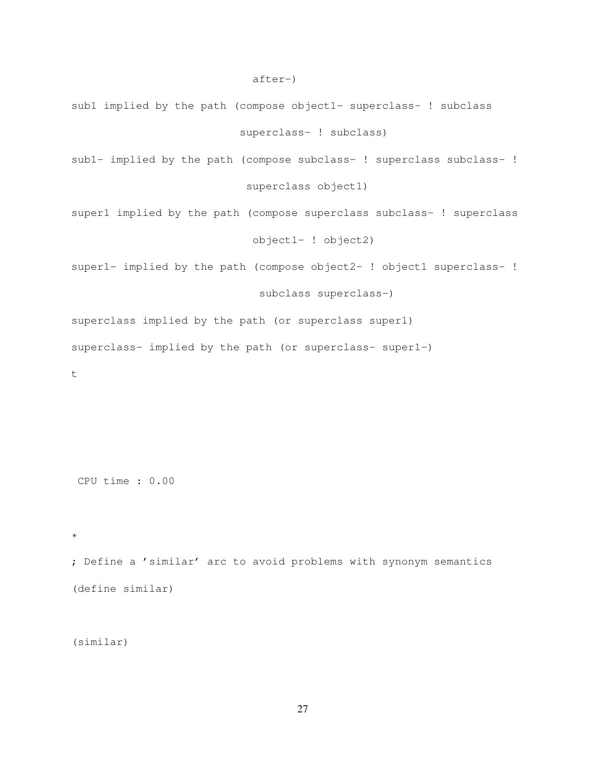- sub1 implied by the path (compose object1- superclass- ! subclass superclass- ! subclass)
- sub1- implied by the path (compose subclass- ! superclass subclass- ! superclass object1)

super1 implied by the path (compose superclass subclass- ! superclass object1- ! object2)

super1- implied by the path (compose object2- ! object1 superclass- !

subclass superclass-)

superclass implied by the path (or superclass super1) superclass- implied by the path (or superclass- super1-)

t

CPU time : 0.00

\*

; Define a 'similar' arc to avoid problems with synonym semantics (define similar)

(similar)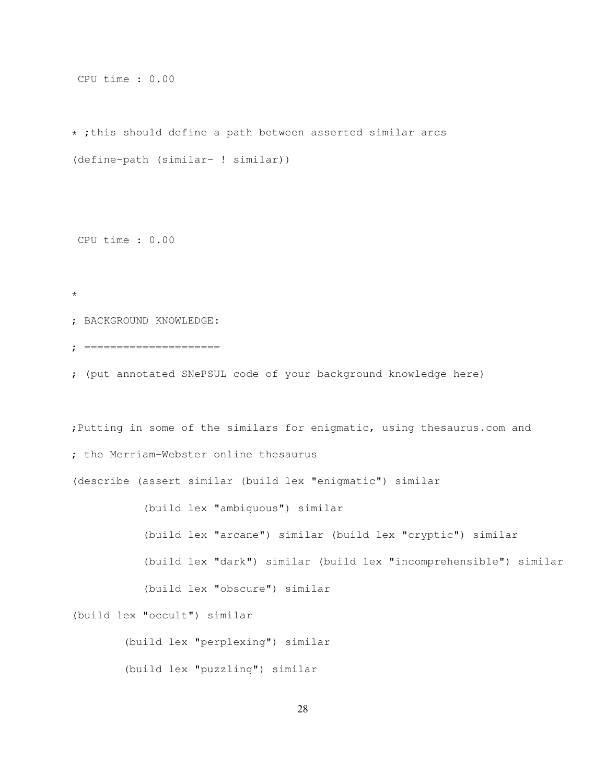CPU time : 0.00

\* ;this should define a path between asserted similar arcs (define-path (similar- ! similar))

CPU time : 0.00

\*

; BACKGROUND KNOWLEDGE:

; =====================

; (put annotated SNePSUL code of your background knowledge here)

;Putting in some of the similars for enigmatic, using thesaurus.com and

; the Merriam-Webster online thesaurus

(describe (assert similar (build lex "enigmatic") similar

(build lex "ambiguous") similar

(build lex "arcane") similar (build lex "cryptic") similar

(build lex "dark") similar (build lex "incomprehensible") similar

(build lex "obscure") similar

(build lex "occult") similar

(build lex "perplexing") similar

(build lex "puzzling") similar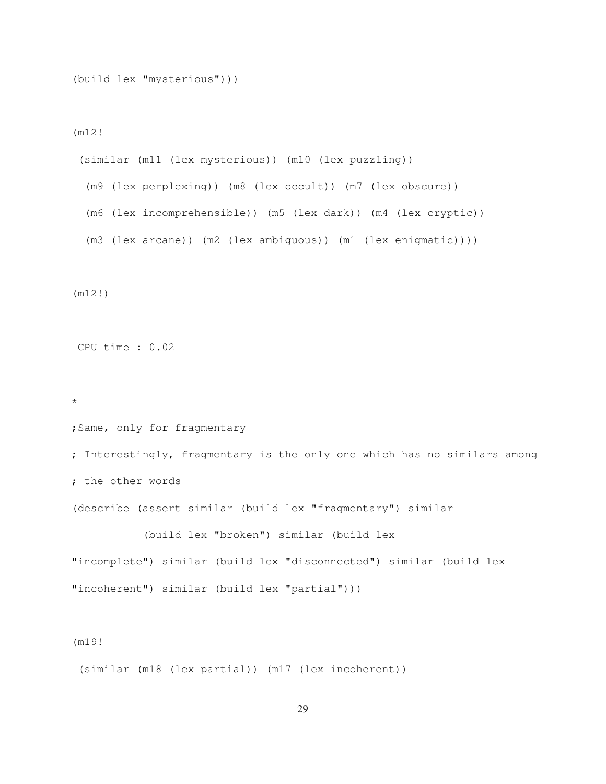(build lex "mysterious")))

(m12!

(similar (m11 (lex mysterious)) (m10 (lex puzzling)) (m9 (lex perplexing)) (m8 (lex occult)) (m7 (lex obscure)) (m6 (lex incomprehensible)) (m5 (lex dark)) (m4 (lex cryptic)) (m3 (lex arcane)) (m2 (lex ambiguous)) (m1 (lex enigmatic))))

(m12!)

CPU time : 0.02

\*

;Same, only for fragmentary

; Interestingly, fragmentary is the only one which has no similars among ; the other words

(describe (assert similar (build lex "fragmentary") similar

(build lex "broken") similar (build lex "incomplete") similar (build lex "disconnected") similar (build lex "incoherent") similar (build lex "partial")))

#### (m19!

(similar (m18 (lex partial)) (m17 (lex incoherent))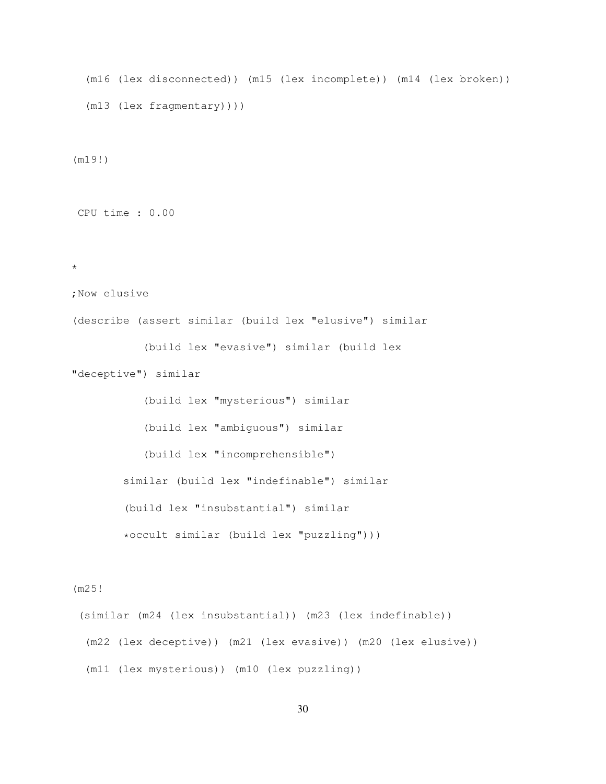```
(m16 (lex disconnected)) (m15 (lex incomplete)) (m14 (lex broken))
(m13 (lex fragmentary))))
```
(m19!)

CPU time : 0.00

\*

```
;Now elusive
```
(describe (assert similar (build lex "elusive") similar

(build lex "evasive") similar (build lex

"deceptive") similar

(build lex "mysterious") similar (build lex "ambiguous") similar (build lex "incomprehensible") similar (build lex "indefinable") similar (build lex "insubstantial") similar \*occult similar (build lex "puzzling")))

#### (m25!

(similar (m24 (lex insubstantial)) (m23 (lex indefinable)) (m22 (lex deceptive)) (m21 (lex evasive)) (m20 (lex elusive)) (m11 (lex mysterious)) (m10 (lex puzzling))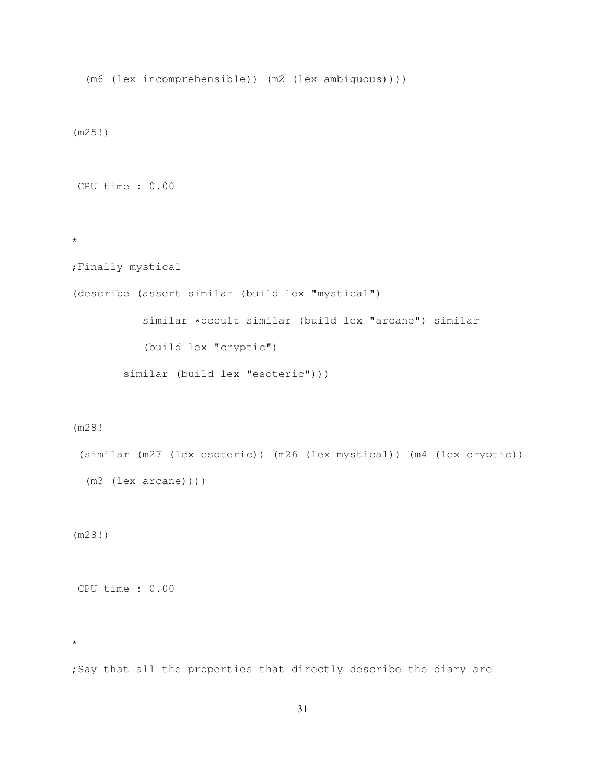(m6 (lex incomprehensible)) (m2 (lex ambiguous)))) (m25!) CPU time : 0.00 \* ;Finally mystical (describe (assert similar (build lex "mystical") similar \*occult similar (build lex "arcane") similar (build lex "cryptic") similar (build lex "esoteric")))

#### (m28!

```
(similar (m27 (lex esoteric)) (m26 (lex mystical)) (m4 (lex cryptic))
(m3 (lex arcane))))
```
(m28!)

CPU time : 0.00

\*

;Say that all the properties that directly describe the diary are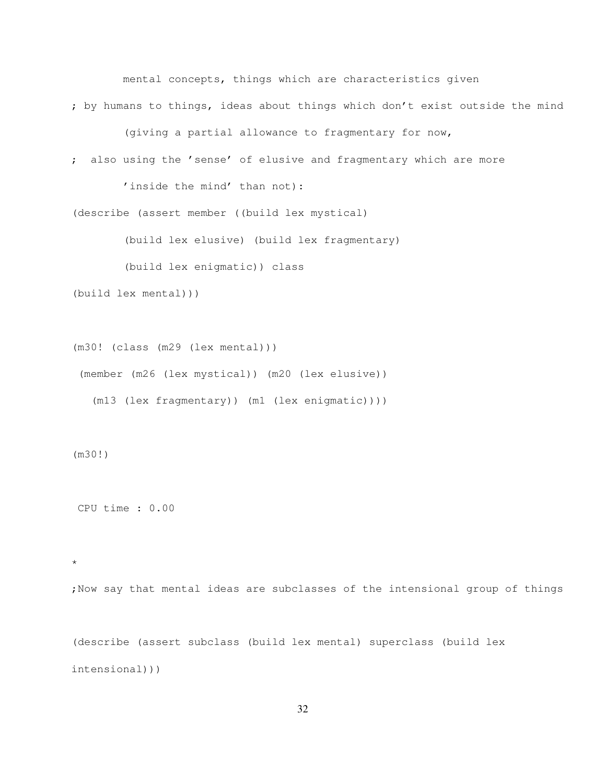mental concepts, things which are characteristics given

; by humans to things, ideas about things which don't exist outside the mind

(giving a partial allowance to fragmentary for now,

; also using the 'sense' of elusive and fragmentary which are more

'inside the mind' than not):

(describe (assert member ((build lex mystical)

(build lex elusive) (build lex fragmentary)

(build lex enigmatic)) class

```
(build lex mental)))
```
(m30! (class (m29 (lex mental))) (member (m26 (lex mystical)) (m20 (lex elusive)) (m13 (lex fragmentary)) (m1 (lex enigmatic))))

(m30!)

CPU time : 0.00

\*

;Now say that mental ideas are subclasses of the intensional group of things

(describe (assert subclass (build lex mental) superclass (build lex intensional)))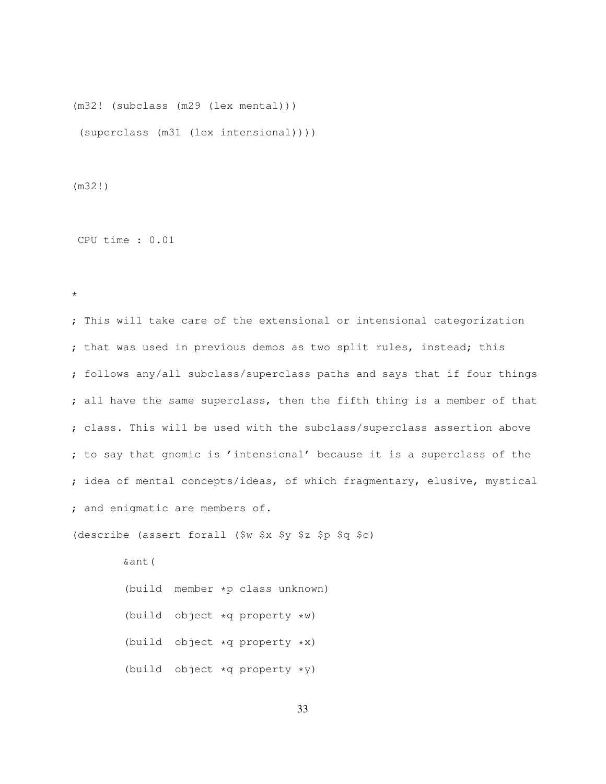(m32! (subclass (m29 (lex mental))) (superclass (m31 (lex intensional))))

(m32!)

CPU time : 0.01

\*

; This will take care of the extensional or intensional categorization ; that was used in previous demos as two split rules, instead; this ; follows any/all subclass/superclass paths and says that if four things ; all have the same superclass, then the fifth thing is a member of that ; class. This will be used with the subclass/superclass assertion above ; to say that gnomic is 'intensional' because it is a superclass of the ; idea of mental concepts/ideas, of which fragmentary, elusive, mystical ; and enigmatic are members of.

(describe (assert forall (\$w \$x \$y \$z \$p \$q \$c)

&ant( (build member \*p class unknown) (build object \*q property \*w) (build object \*q property \*x) (build object \*q property \*y)

33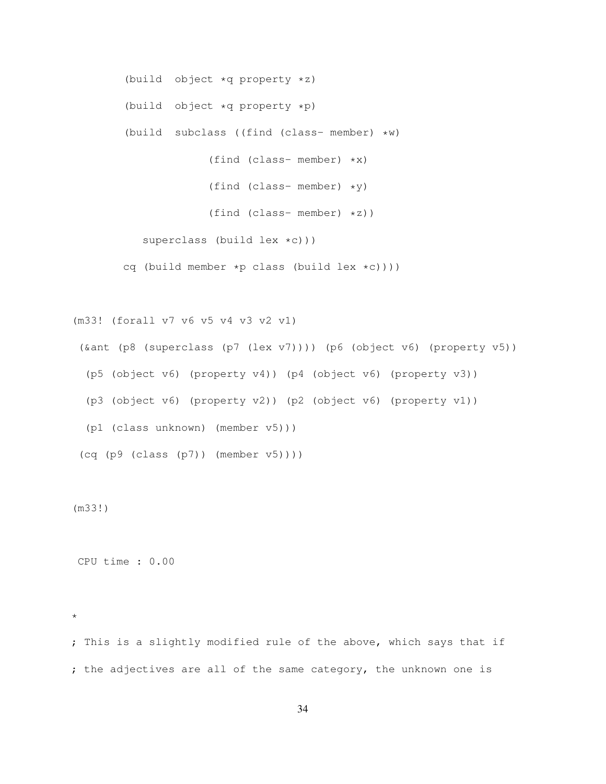(build object \*q property \*z) (build object \*q property \*p) (build subclass ((find (class- member) \*w) (find (class- member) \*x) (find (class- member) \*y) (find (class- member) \*z)) superclass (build lex \*c))) cq (build member \*p class (build lex \*c))))

(m33! (forall v7 v6 v5 v4 v3 v2 v1)

(&ant (p8 (superclass (p7 (lex v7)))) (p6 (object v6) (property v5)) (p5 (object v6) (property v4)) (p4 (object v6) (property v3)) (p3 (object v6) (property v2)) (p2 (object v6) (property v1)) (p1 (class unknown) (member v5)))  $(cq (p9 (class (p7)) (member v5))))$ 

(m33!)

CPU time : 0.00

\*

; This is a slightly modified rule of the above, which says that if ; the adjectives are all of the same category, the unknown one is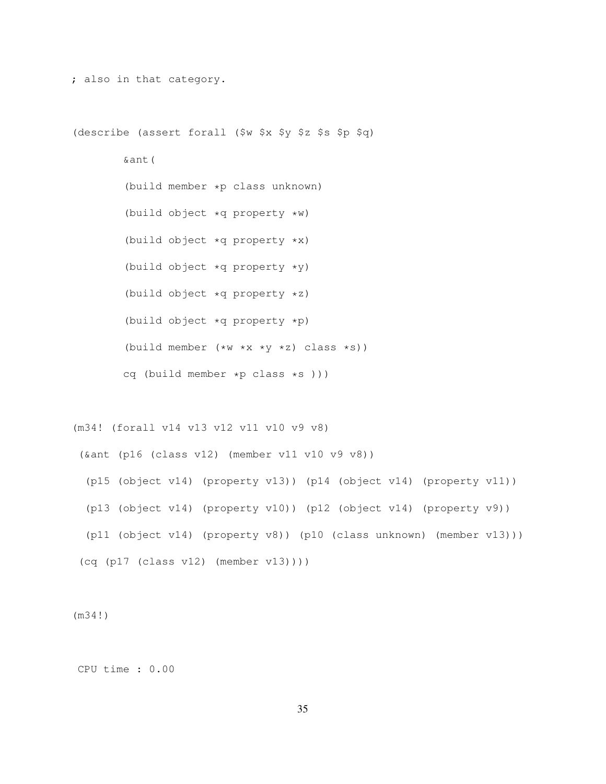(describe (assert forall (\$w \$x \$y \$z \$s \$p \$q) &ant( (build member \*p class unknown) (build object \*q property \*w) (build object \*q property \*x) (build object \*q property \*y) (build object \*q property \*z) (build object \*q property \*p) (build member  $(*w *x *y *z)$  class  $*s)$ ) cq (build member \*p class \*s )))

; also in that category.

(m34! (forall v14 v13 v12 v11 v10 v9 v8)

(&ant (p16 (class v12) (member v11 v10 v9 v8)) (p15 (object v14) (property v13)) (p14 (object v14) (property v11)) (p13 (object v14) (property v10)) (p12 (object v14) (property v9)) (p11 (object v14) (property v8)) (p10 (class unknown) (member v13))) (cq (p17 (class v12) (member v13))))

(m34!)

CPU time : 0.00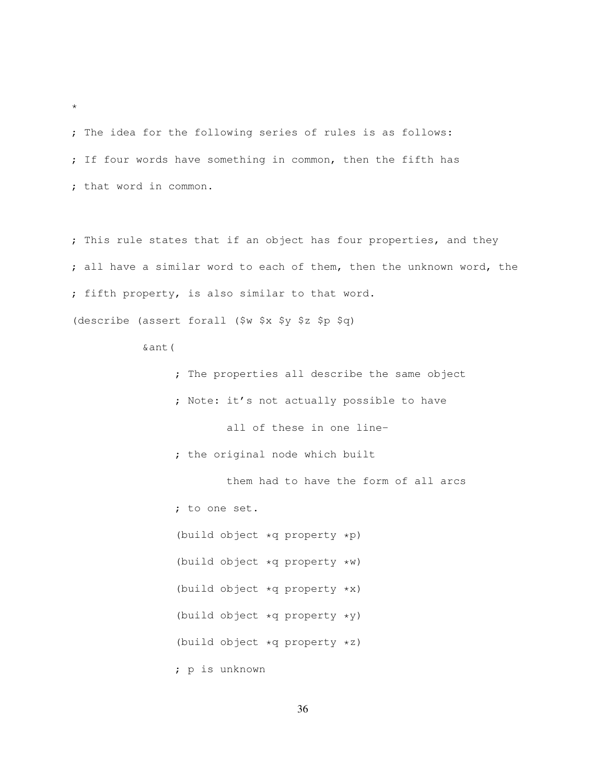; The idea for the following series of rules is as follows: ; If four words have something in common, then the fifth has ; that word in common.

; This rule states that if an object has four properties, and they ; all have a similar word to each of them, then the unknown word, the ; fifth property, is also similar to that word. (describe (assert forall (\$w \$x \$y \$z \$p \$q)

&ant(

- ; The properties all describe the same object
- ; Note: it's not actually possible to have

all of these in one line-

; the original node which built

them had to have the form of all arcs ; to one set. (build object \*q property \*p) (build object \*q property \*w) (build object \*q property \*x) (build object \*q property \*y) (build object \*q property \*z) ; p is unknown

\*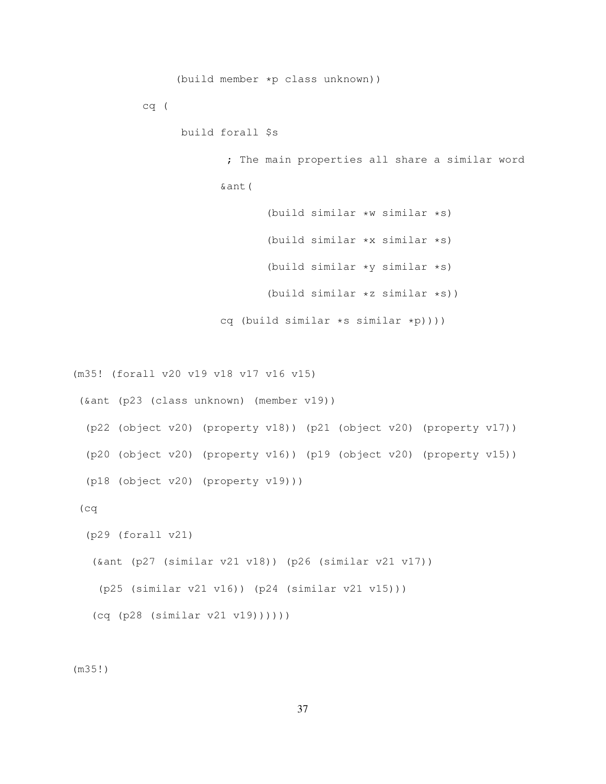```
(build member *p class unknown))
          cq (
                build forall $s
                        ; The main properties all share a similar word
                       &ant(
                              (build similar *w similar *s)
                              (build similar *x similar *s)
                              (build similar *y similar *s)
                              (build similar *z similar *s))
                       cq (build similar *s similar *p))))
(m35! (forall v20 v19 v18 v17 v16 v15)
(&ant (p23 (class unknown) (member v19))
 (p22 (object v20) (property v18)) (p21 (object v20) (property v17))
 (p20 (object v20) (property v16)) (p19 (object v20) (property v15))
 (p18 (object v20) (property v19)))
(cq
 (p29 (forall v21)
  (&ant (p27 (similar v21 v18)) (p26 (similar v21 v17))
   (p25 (similar v21 v16)) (p24 (similar v21 v15)))
  (cq (p28 (similar v21 v19))))))
```
(m35!)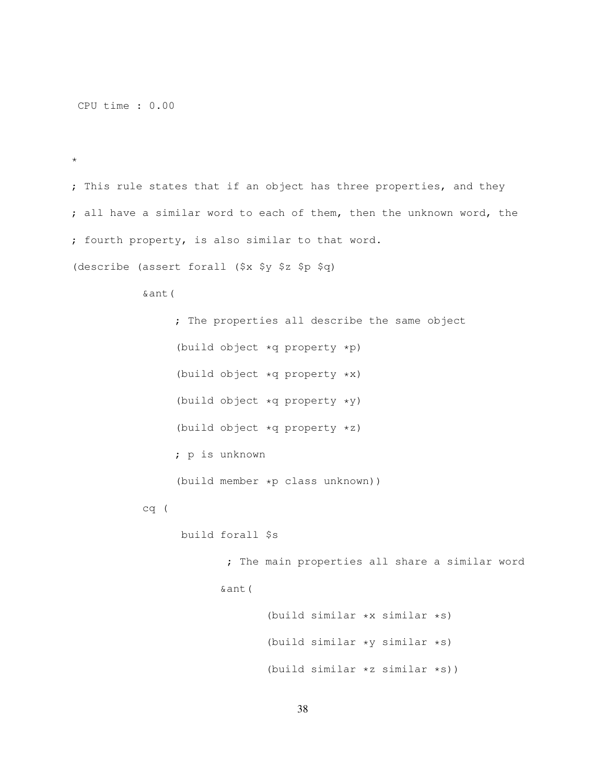CPU time : 0.00

\*

; This rule states that if an object has three properties, and they ; all have a similar word to each of them, then the unknown word, the ; fourth property, is also similar to that word.

(describe (assert forall (\$x \$y \$z \$p \$q)

&ant(

; The properties all describe the same object (build object \*q property \*p) (build object \*q property \*x) (build object \*q property \*y) (build object \*q property \*z) ; p is unknown (build member \*p class unknown)) cq ( build forall \$s

; The main properties all share a similar word &ant(

> (build similar \*x similar \*s) (build similar \*y similar \*s) (build similar \*z similar \*s))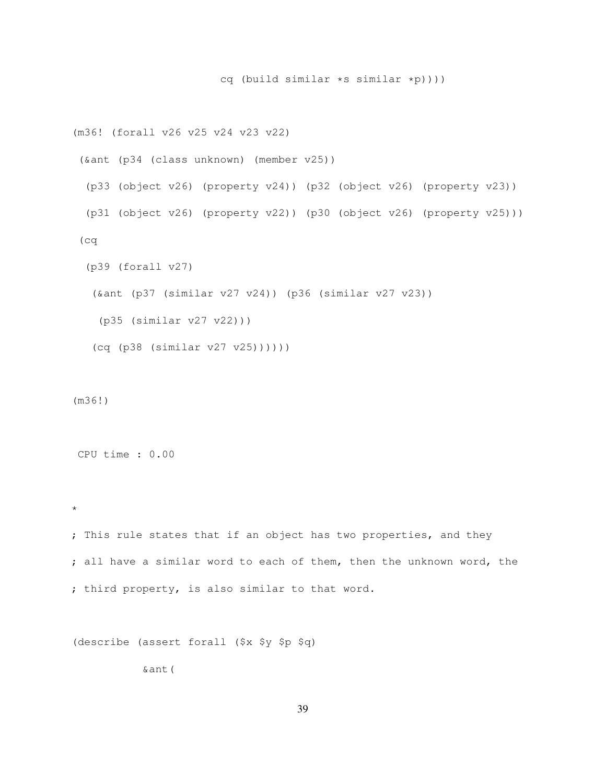```
(m36! (forall v26 v25 v24 v23 v22)
(&ant (p34 (class unknown) (member v25))
 (p33 (object v26) (property v24)) (p32 (object v26) (property v23))
 (p31 (object v26) (property v22)) (p30 (object v26) (property v25)))
(cq
 (p39 (forall v27)
  (&ant (p37 (similar v27 v24)) (p36 (similar v27 v23))
   (p35 (similar v27 v22)))
  (cq (p38 (similar v27 v25))))))
```
cq (build similar \*s similar \*p))))

(m36!)

CPU time : 0.00

\*

; This rule states that if an object has two properties, and they ; all have a similar word to each of them, then the unknown word, the ; third property, is also similar to that word.

(describe (assert forall (\$x \$y \$p \$q)

&ant(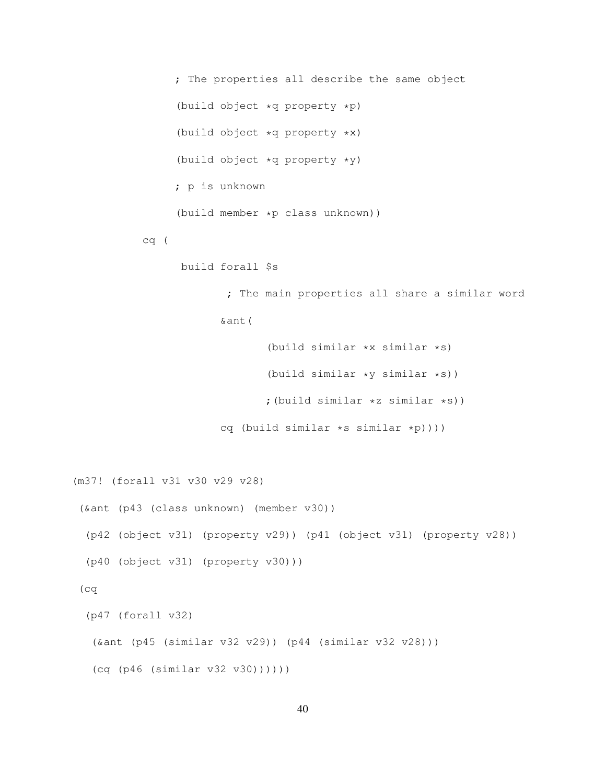; The properties all describe the same object (build object \*q property \*p) (build object \*q property \*x) (build object \*q property \*y) ; p is unknown (build member \*p class unknown)) cq ( build forall \$s ; The main properties all share a similar word &ant(

> (build similar \*x similar \*s) (build similar \*y similar \*s)) ;(build similar \*z similar \*s)) cq (build similar \*s similar \*p))))

```
(m37! (forall v31 v30 v29 v28)
(&ant (p43 (class unknown) (member v30))
 (p42 (object v31) (property v29)) (p41 (object v31) (property v28))
 (p40 (object v31) (property v30)))
 (cq
 (p47 (forall v32)
  (&ant (p45 (similar v32 v29)) (p44 (similar v32 v28)))
  (cq (p46 (similar v32 v30))))))
```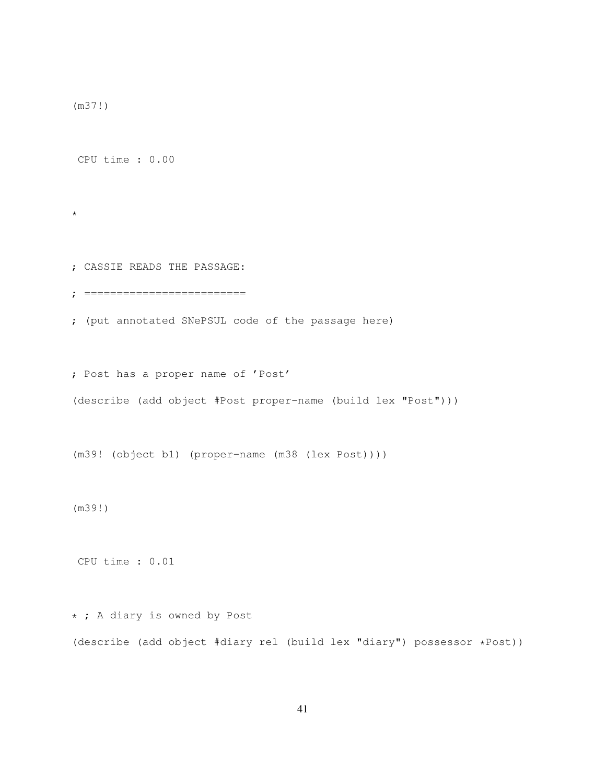(m37!)

CPU time : 0.00

\*

; CASSIE READS THE PASSAGE:

; =========================

; (put annotated SNePSUL code of the passage here)

; Post has a proper name of 'Post'

(describe (add object #Post proper-name (build lex "Post")))

(m39! (object b1) (proper-name (m38 (lex Post))))

(m39!)

CPU time : 0.01

\* ; A diary is owned by Post (describe (add object #diary rel (build lex "diary") possessor \*Post))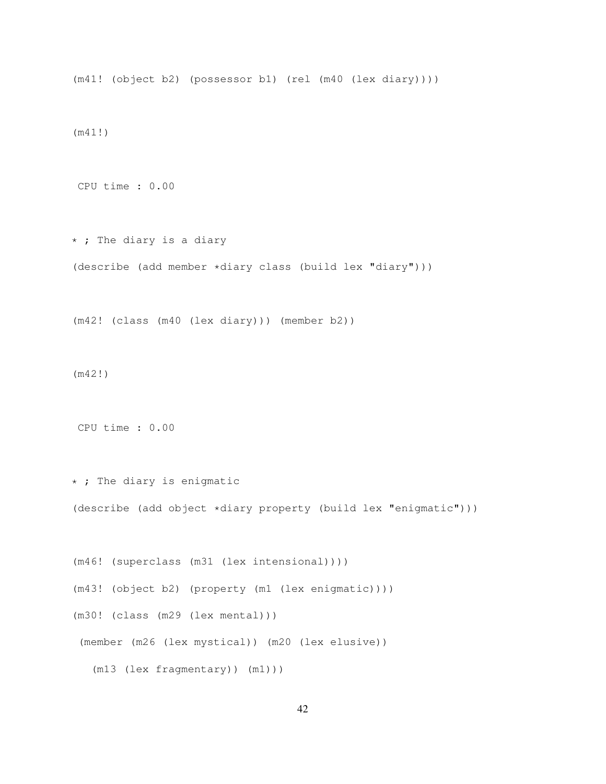(m41! (object b2) (possessor b1) (rel (m40 (lex diary))))

(m41!)

CPU time : 0.00

\* ; The diary is a diary (describe (add member \*diary class (build lex "diary")))

(m42! (class (m40 (lex diary))) (member b2))

(m42!)

CPU time : 0.00

\* ; The diary is enigmatic (describe (add object \*diary property (build lex "enigmatic")))

(m46! (superclass (m31 (lex intensional)))) (m43! (object b2) (property (m1 (lex enigmatic)))) (m30! (class (m29 (lex mental))) (member (m26 (lex mystical)) (m20 (lex elusive)) (m13 (lex fragmentary)) (m1)))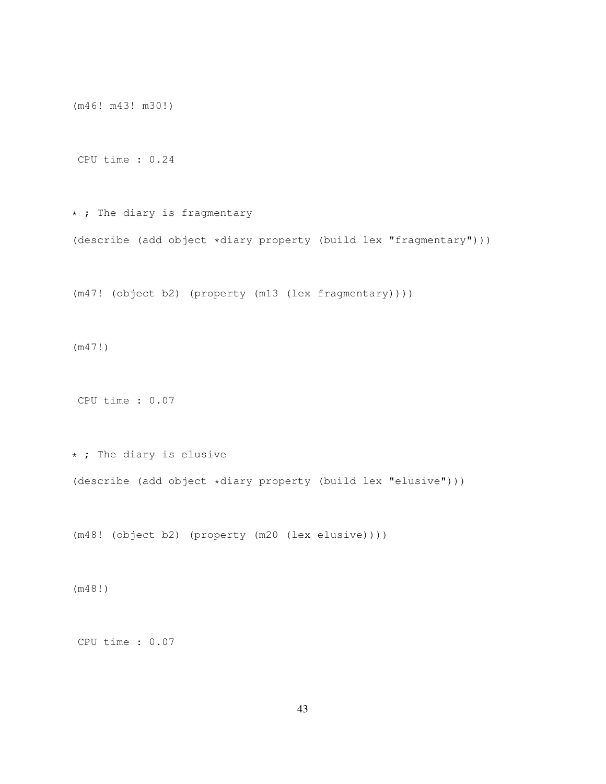(m46! m43! m30!)

CPU time : 0.24

\* ; The diary is fragmentary (describe (add object \*diary property (build lex "fragmentary")))

(m47! (object b2) (property (m13 (lex fragmentary))))

(m47!)

CPU time : 0.07

\* ; The diary is elusive (describe (add object \*diary property (build lex "elusive")))

(m48! (object b2) (property (m20 (lex elusive))))

(m48!)

CPU time : 0.07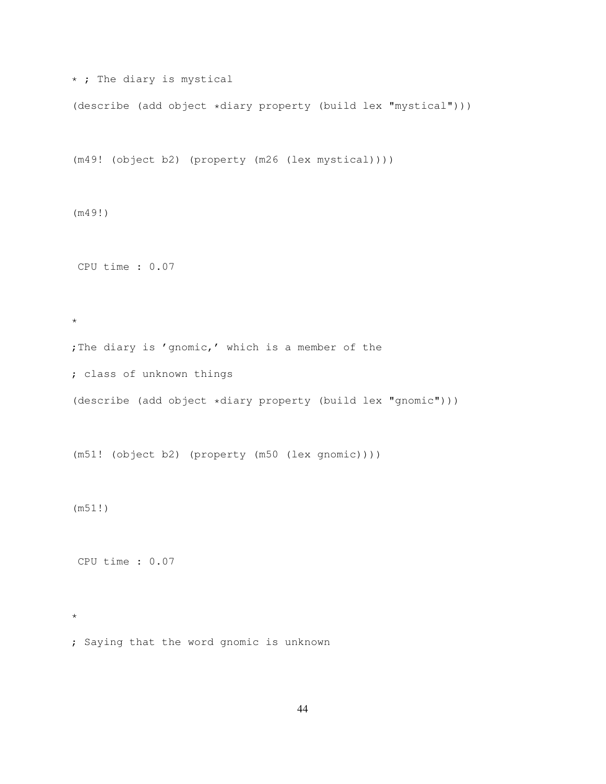\* ; The diary is mystical

(describe (add object \*diary property (build lex "mystical")))

(m49! (object b2) (property (m26 (lex mystical))))

(m49!)

CPU time : 0.07

\*

; The diary is 'gnomic,' which is a member of the

; class of unknown things

(describe (add object \*diary property (build lex "gnomic")))

(m51! (object b2) (property (m50 (lex gnomic))))

(m51!)

\*

CPU time : 0.07

; Saying that the word gnomic is unknown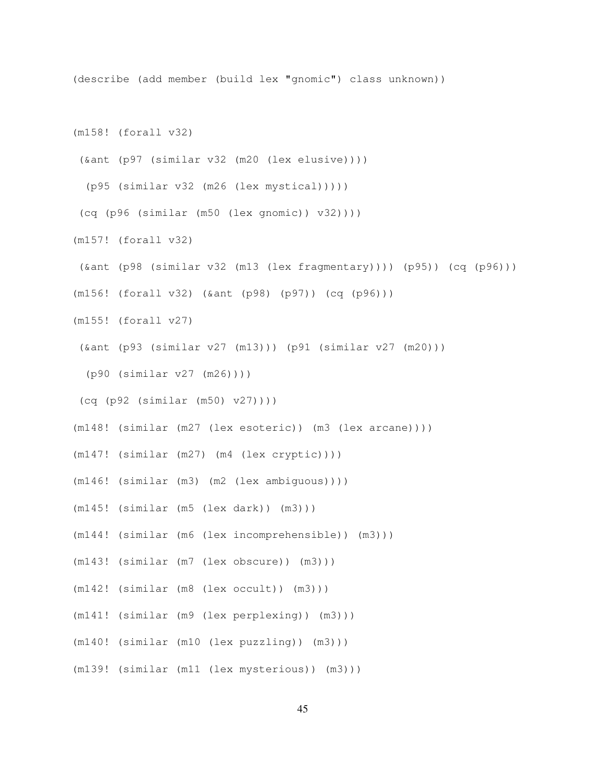(describe (add member (build lex "gnomic") class unknown))

(m158! (forall v32)

(&ant (p97 (similar v32 (m20 (lex elusive))))

(p95 (similar v32 (m26 (lex mystical)))))

(cq (p96 (similar (m50 (lex gnomic)) v32))))

(m157! (forall v32)

(&ant (p98 (similar v32 (m13 (lex fragmentary)))) (p95)) (cq (p96)))

(m156! (forall v32) (&ant (p98) (p97)) (cq (p96)))

- (m155! (forall v27)
- (&ant (p93 (similar v27 (m13))) (p91 (similar v27 (m20)))

(p90 (similar v27 (m26))))

- (cq (p92 (similar (m50) v27))))
- (m148! (similar (m27 (lex esoteric)) (m3 (lex arcane))))
- (m147! (similar (m27) (m4 (lex cryptic))))
- (m146! (similar (m3) (m2 (lex ambiguous))))
- (m145! (similar (m5 (lex dark)) (m3)))
- (m144! (similar (m6 (lex incomprehensible)) (m3)))
- (m143! (similar (m7 (lex obscure)) (m3)))
- (m142! (similar (m8 (lex occult)) (m3)))
- (m141! (similar (m9 (lex perplexing)) (m3)))
- (m140! (similar (m10 (lex puzzling)) (m3)))
- (m139! (similar (m11 (lex mysterious)) (m3)))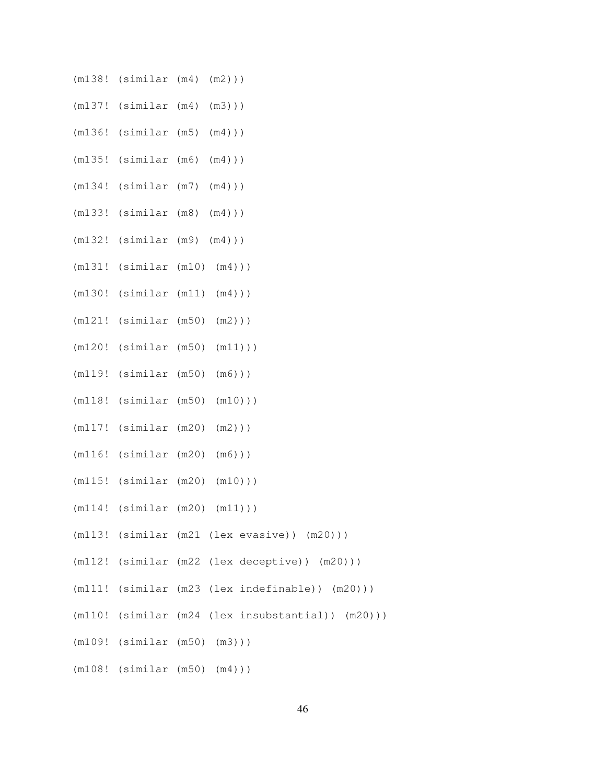- (m138! (similar (m4) (m2)))
- (m137! (similar (m4) (m3)))
- (m136! (similar (m5) (m4)))
- (m135! (similar (m6) (m4)))
- (m134! (similar (m7) (m4)))
- (m133! (similar (m8) (m4)))
- (m132! (similar (m9) (m4)))
- (m131! (similar (m10) (m4)))
- (m130! (similar (m11) (m4)))
- (m121! (similar (m50) (m2)))
- (m120! (similar (m50) (m11)))
- (m119! (similar (m50) (m6)))
- (m118! (similar (m50) (m10)))
- (m117! (similar (m20) (m2)))
- (m116! (similar (m20) (m6)))
- (m115! (similar (m20) (m10)))
- (m114! (similar (m20) (m11)))
- (m113! (similar (m21 (lex evasive)) (m20)))
- (m112! (similar (m22 (lex deceptive)) (m20)))
- (m111! (similar (m23 (lex indefinable)) (m20)))
- (m110! (similar (m24 (lex insubstantial)) (m20)))
- (m109! (similar (m50) (m3)))
- (m108! (similar (m50) (m4)))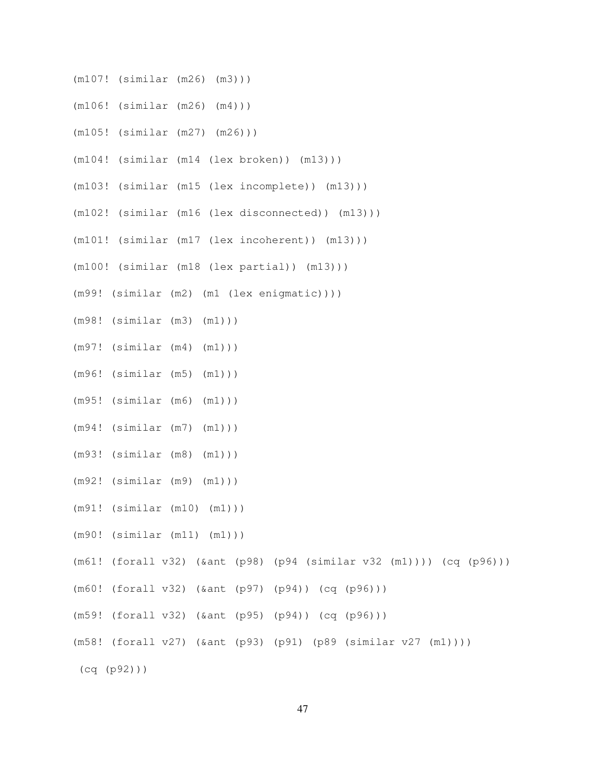- (m107! (similar (m26) (m3)))
- (m106! (similar (m26) (m4)))
- (m105! (similar (m27) (m26)))
- (m104! (similar (m14 (lex broken)) (m13)))
- (m103! (similar (m15 (lex incomplete)) (m13)))
- (m102! (similar (m16 (lex disconnected)) (m13)))
- (m101! (similar (m17 (lex incoherent)) (m13)))
- (m100! (similar (m18 (lex partial)) (m13)))
- (m99! (similar (m2) (m1 (lex enigmatic))))
- (m98! (similar (m3) (m1)))
- (m97! (similar (m4) (m1)))
- (m96! (similar (m5) (m1)))
- (m95! (similar (m6) (m1)))
- (m94! (similar (m7) (m1)))
- (m93! (similar (m8) (m1)))
- (m92! (similar (m9) (m1)))
- (m91! (similar (m10) (m1)))
- (m90! (similar (m11) (m1)))
- (m61! (forall v32) (&ant (p98) (p94 (similar v32 (m1)))) (cq (p96)))
- (m60! (forall v32) (&ant (p97) (p94)) (cq (p96)))
- (m59! (forall v32) (&ant (p95) (p94)) (cq (p96)))
- (m58! (forall v27) (&ant (p93) (p91) (p89 (similar v27 (m1))))
- (cq (p92)))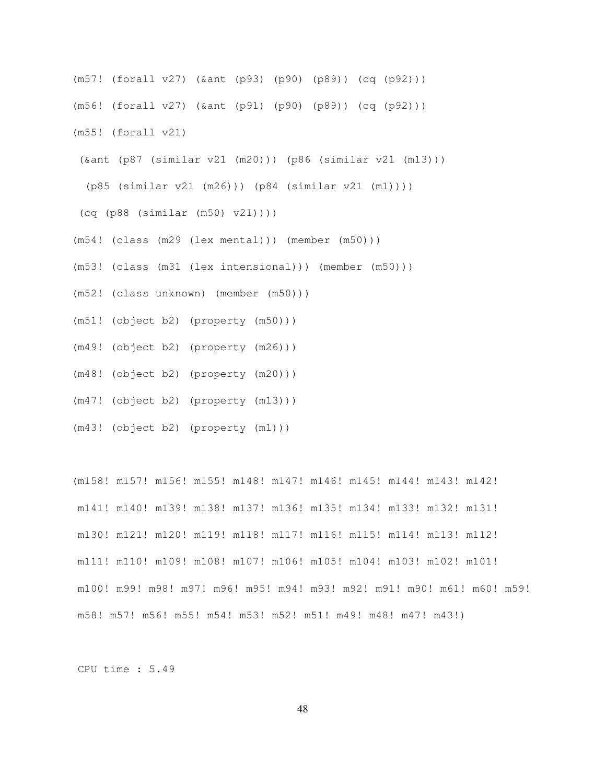- (m57! (forall v27) (&ant (p93) (p90) (p89)) (cq (p92))) (m56! (forall v27) (&ant (p91) (p90) (p89)) (cq (p92))) (m55! (forall v21)
- (&ant (p87 (similar v21 (m20))) (p86 (similar v21 (m13)))

(p85 (similar v21 (m26))) (p84 (similar v21 (m1))))

(cq (p88 (similar (m50) v21))))

- (m54! (class (m29 (lex mental))) (member (m50)))
- (m53! (class (m31 (lex intensional))) (member (m50)))
- (m52! (class unknown) (member (m50)))
- (m51! (object b2) (property (m50)))
- (m49! (object b2) (property (m26)))
- (m48! (object b2) (property (m20)))
- (m47! (object b2) (property (m13)))
- (m43! (object b2) (property (m1)))

(m158! m157! m156! m155! m148! m147! m146! m145! m144! m143! m142! m141! m140! m139! m138! m137! m136! m135! m134! m133! m132! m131! m130! m121! m120! m119! m118! m117! m116! m115! m114! m113! m112! m111! m110! m109! m108! m107! m106! m105! m104! m103! m102! m101! m100! m99! m98! m97! m96! m95! m94! m93! m92! m91! m90! m61! m60! m59! m58! m57! m56! m55! m54! m53! m52! m51! m49! m48! m47! m43!)

CPU time : 5.49

48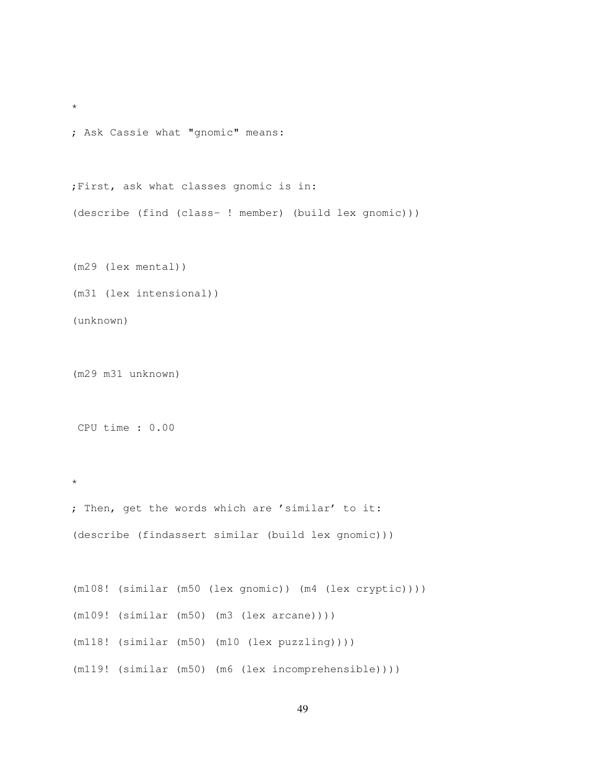```
*
; Ask Cassie what "gnomic" means:
;First, ask what classes gnomic is in:
(describe (find (class- ! member) (build lex gnomic)))
(m29 (lex mental))
(m31 (lex intensional))
(unknown)
```
(m29 m31 unknown)

CPU time : 0.00

\*

```
; Then, get the words which are 'similar' to it:
(describe (findassert similar (build lex gnomic)))
```
(m108! (similar (m50 (lex gnomic)) (m4 (lex cryptic)))) (m109! (similar (m50) (m3 (lex arcane)))) (m118! (similar (m50) (m10 (lex puzzling)))) (m119! (similar (m50) (m6 (lex incomprehensible))))